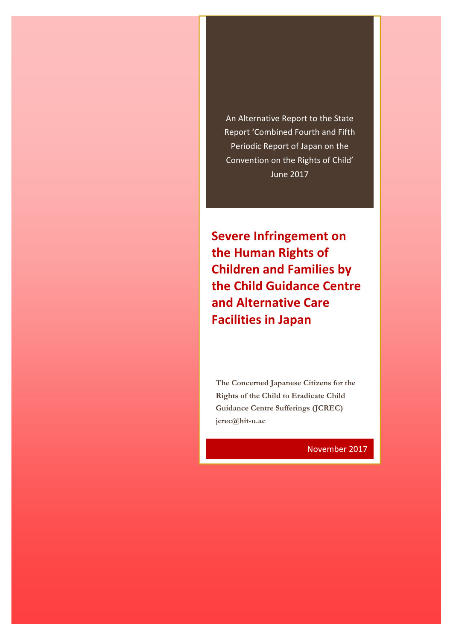An Alternative Report to the State Report 'Combined Fourth and Fifth Periodic Report of Japan on the Convention on the Rights of Child' June 2017

**Severe Infringement on the Human Rights of Children and Families by the Child Guidance Centre and Alternative Care Facilities in Japan**

**The Concerned Japanese Citizens for the Rights of the Child to Eradicate Child Guidance Centre Sufferings (JCREC) jcrec@hit-u.ac** 

November 2017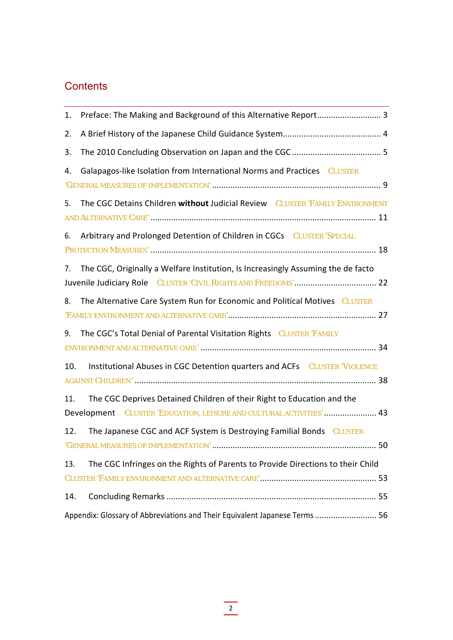## **Contents**

| Preface: The Making and Background of this Alternative Report 3<br>1.                                                                                 |
|-------------------------------------------------------------------------------------------------------------------------------------------------------|
| 2.                                                                                                                                                    |
| 3.                                                                                                                                                    |
| Galapagos-like Isolation from International Norms and Practices CLUSTER<br>4.                                                                         |
| The CGC Detains Children without Judicial Review CLUSTER 'FAMILY ENVIRONMENT<br>5.                                                                    |
| Arbitrary and Prolonged Detention of Children in CGCs CLUSTER 'SPECIAL<br>6.                                                                          |
| The CGC, Originally a Welfare Institution, Is Increasingly Assuming the de facto<br>7.                                                                |
| The Alternative Care System Run for Economic and Political Motives CLUSTER<br>8.                                                                      |
| The CGC's Total Denial of Parental Visitation Rights CLUSTER 'FAMILY<br>9.                                                                            |
| Institutional Abuses in CGC Detention quarters and ACFs CLUSTER 'VIOLENCE<br>10.                                                                      |
| The CGC Deprives Detained Children of their Right to Education and the<br>11.<br>Development CLUSTER 'EDUCATION, LEISURE AND CULTURAL ACTIVITIES'  43 |
| The Japanese CGC and ACF System is Destroying Familial Bonds CLUSTER<br>12.                                                                           |
| The CGC Infringes on the Rights of Parents to Provide Directions to their Child<br>13.                                                                |
|                                                                                                                                                       |
| 14.                                                                                                                                                   |
| Appendix: Glossary of Abbreviations and Their Equivalent Japanese Terms  56                                                                           |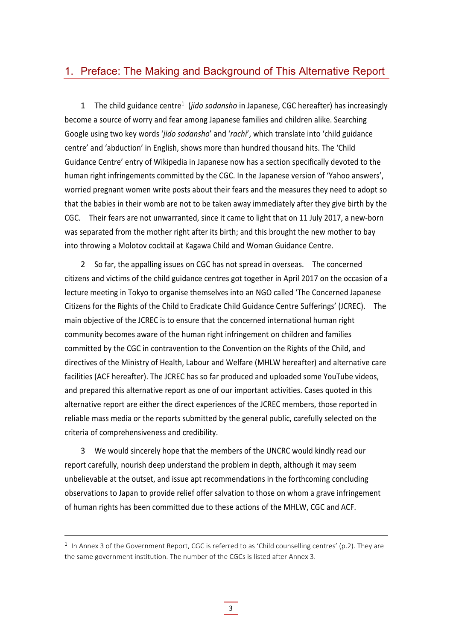#### 1. Preface: The Making and Background of This Alternative Report

1 The child guidance centre<sup>1</sup> (*jido sodansho* in Japanese, CGC hereafter) has increasingly become a source of worry and fear among Japanese families and children alike. Searching Google using two key words '*jido sodansho*' and '*rachi*', which translate into 'child guidance centre' and 'abduction' in English, shows more than hundred thousand hits. The 'Child Guidance Centre' entry of Wikipedia in Japanese now has a section specifically devoted to the human right infringements committed by the CGC. In the Japanese version of 'Yahoo answers', worried pregnant women write posts about their fears and the measures they need to adopt so that the babies in their womb are not to be taken away immediately after they give birth by the CGC. Their fears are not unwarranted, since it came to light that on 11 July 2017, a new‐born was separated from the mother right after its birth; and this brought the new mother to bay into throwing a Molotov cocktail at Kagawa Child and Woman Guidance Centre.

2 So far, the appalling issues on CGC has not spread in overseas. The concerned citizens and victims of the child guidance centres got together in April 2017 on the occasion of a lecture meeting in Tokyo to organise themselves into an NGO called 'The Concerned Japanese Citizens for the Rights of the Child to Eradicate Child Guidance Centre Sufferings' (JCREC). The main objective of the JCREC is to ensure that the concerned international human right community becomes aware of the human right infringement on children and families committed by the CGC in contravention to the Convention on the Rights of the Child, and directives of the Ministry of Health, Labour and Welfare (MHLW hereafter) and alternative care facilities (ACF hereafter). The JCREC has so far produced and uploaded some YouTube videos, and prepared this alternative report as one of our important activities. Cases quoted in this alternative report are either the direct experiences of the JCREC members, those reported in reliable mass media or the reports submitted by the general public, carefully selected on the criteria of comprehensiveness and credibility.

3 We would sincerely hope that the members of the UNCRC would kindly read our report carefully, nourish deep understand the problem in depth, although it may seem unbelievable at the outset, and issue apt recommendations in the forthcoming concluding observations to Japan to provide relief offer salvation to those on whom a grave infringement of human rights has been committed due to these actions of the MHLW, CGC and ACF.

<sup>&</sup>lt;sup>1</sup> In Annex 3 of the Government Report, CGC is referred to as 'Child counselling centres' (p.2). They are the same government institution. The number of the CGCs is listed after Annex 3.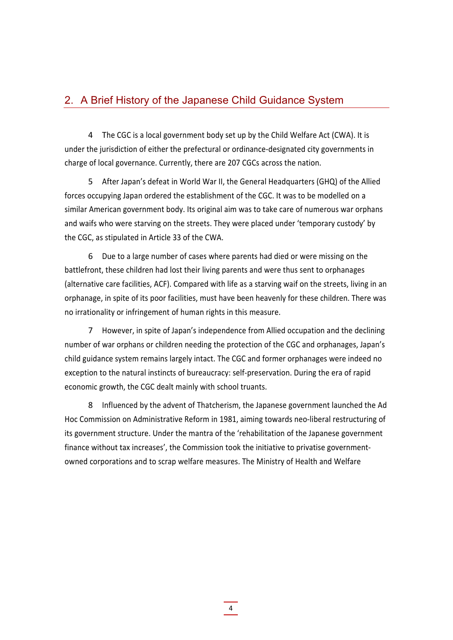#### 2. A Brief History of the Japanese Child Guidance System

4 The CGC is a local government body set up by the Child Welfare Act (CWA). It is under the jurisdiction of either the prefectural or ordinance‐designated city governments in charge of local governance. Currently, there are 207 CGCs across the nation.

5 After Japan's defeat in World War II, the General Headquarters (GHQ) of the Allied forces occupying Japan ordered the establishment of the CGC. It was to be modelled on a similar American government body. Its original aim was to take care of numerous war orphans and waifs who were starving on the streets. They were placed under 'temporary custody' by the CGC, as stipulated in Article 33 of the CWA.

6 Due to a large number of cases where parents had died or were missing on the battlefront, these children had lost their living parents and were thus sent to orphanages (alternative care facilities, ACF). Compared with life as a starving waif on the streets, living in an orphanage, in spite of its poor facilities, must have been heavenly for these children. There was no irrationality or infringement of human rights in this measure.

7 However, in spite of Japan's independence from Allied occupation and the declining number of war orphans or children needing the protection of the CGC and orphanages, Japan's child guidance system remains largely intact. The CGC and former orphanages were indeed no exception to the natural instincts of bureaucracy: self‐preservation. During the era of rapid economic growth, the CGC dealt mainly with school truants.

8 Influenced by the advent of Thatcherism, the Japanese government launched the Ad Hoc Commission on Administrative Reform in 1981, aiming towards neo-liberal restructuring of its government structure. Under the mantra of the 'rehabilitation of the Japanese government finance without tax increases', the Commission took the initiative to privatise government‐ owned corporations and to scrap welfare measures. The Ministry of Health and Welfare

4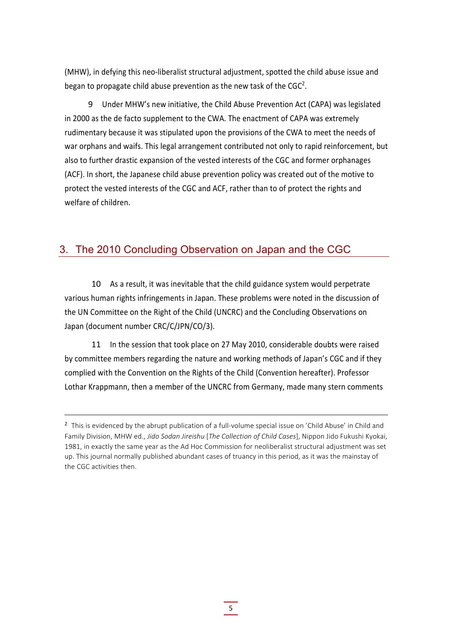(MHW), in defying this neo‐liberalist structural adjustment, spotted the child abuse issue and began to propagate child abuse prevention as the new task of the  $CGC<sup>2</sup>$ .

9 Under MHW's new initiative, the Child Abuse Prevention Act (CAPA) was legislated in 2000 as the de facto supplement to the CWA. The enactment of CAPA was extremely rudimentary because it was stipulated upon the provisions of the CWA to meet the needs of war orphans and waifs. This legal arrangement contributed not only to rapid reinforcement, but also to further drastic expansion of the vested interests of the CGC and former orphanages (ACF). In short, the Japanese child abuse prevention policy was created out of the motive to protect the vested interests of the CGC and ACF, rather than to of protect the rights and welfare of children.

### 3. The 2010 Concluding Observation on Japan and the CGC

10 As a result, it was inevitable that the child guidance system would perpetrate various human rights infringements in Japan. These problems were noted in the discussion of the UN Committee on the Right of the Child (UNCRC) and the Concluding Observations on Japan (document number CRC/C/JPN/CO/3).

11 In the session that took place on 27 May 2010, considerable doubts were raised by committee members regarding the nature and working methods of Japan's CGC and if they complied with the Convention on the Rights of the Child (Convention hereafter). Professor Lothar Krappmann, then a member of the UNCRC from Germany, made many stern comments

<sup>&</sup>lt;sup>2</sup> This is evidenced by the abrupt publication of a full-volume special issue on 'Child Abuse' in Child and Family Division, MHW ed., *Jido Sodan Jireishu* [*The Collection of Child Cases*], Nippon Jido Fukushi Kyokai, 1981, in exactly the same year as the Ad Hoc Commission for neoliberalist structural adjustment was set up. This journal normally published abundant cases of truancy in this period, as it was the mainstay of the CGC activities then.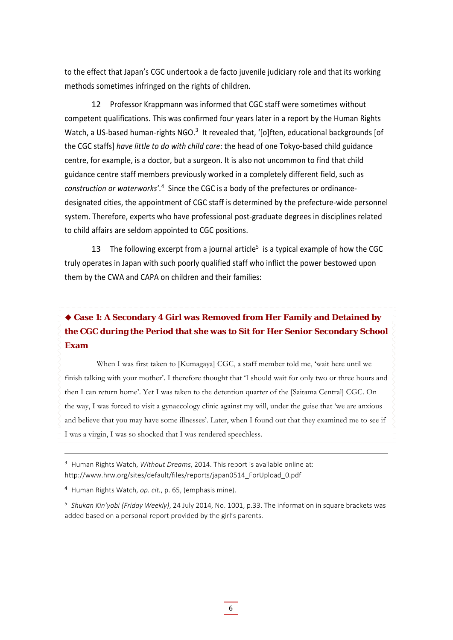to the effect that Japan's CGC undertook a de facto juvenile judiciary role and that its working methods sometimes infringed on the rights of children.

12 Professor Krappmann was informed that CGC staff were sometimes without competent qualifications. This was confirmed four years later in a report by the Human Rights Watch, a US-based human-rights NGO.<sup>3</sup> It revealed that, '[o]ften, educational backgrounds [of the CGC staffs] *have little to do with child care*: the head of one Tokyo‐based child guidance centre, for example, is a doctor, but a surgeon. It is also not uncommon to find that child guidance centre staff members previously worked in a completely different field, such as *construction or waterworks'.*<sup>4</sup> Since the CGC is a body of the prefectures or ordinance‐ designated cities, the appointment of CGC staff is determined by the prefecture-wide personnel system. Therefore, experts who have professional post-graduate degrees in disciplines related to child affairs are seldom appointed to CGC positions.

13 The following excerpt from a journal article<sup>5</sup> is a typical example of how the CGC truly operates in Japan with such poorly qualified staff who inflict the power bestowed upon them by the CWA and CAPA on children and their families:

### **Case 1: A Secondary 4 Girl was Removed from Her Family and Detained by the CGC during the Period that she was to Sit for Her Senior Secondary School Exam**

When I was first taken to [Kumagaya] CGC, a staff member told me, 'wait here until we finish talking with your mother'. I therefore thought that 'I should wait for only two or three hours and then I can return home'. Yet I was taken to the detention quarter of the [Saitama Central] CGC. On the way, I was forced to visit a gynaecology clinic against my will, under the guise that 'we are anxious and believe that you may have some illnesses'. Later, when I found out that they examined me to see if I was a virgin, I was so shocked that I was rendered speechless.

<sup>3</sup> Human Rights Watch, *Without Dreams*, 2014. This report is available online at: http://www.hrw.org/sites/default/files/reports/japan0514\_ForUpload\_0.pdf

<sup>4</sup> Human Rights Watch, *op. cit.*, p. 65, (emphasis mine).

<sup>5</sup> *Shukan Kin'yobi (Friday Weekly)*, 24 July 2014, No. 1001, p.33. The information in square brackets was added based on a personal report provided by the girl's parents.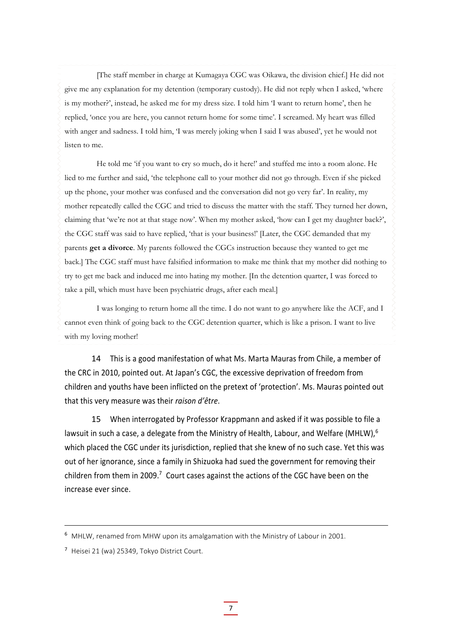[The staff member in charge at Kumagaya CGC was Oikawa, the division chief.] He did not give me any explanation for my detention (temporary custody). He did not reply when I asked, 'where is my mother?', instead, he asked me for my dress size. I told him 'I want to return home', then he replied, 'once you are here, you cannot return home for some time'. I screamed. My heart was filled with anger and sadness. I told him, 'I was merely joking when I said I was abused', yet he would not listen to me.

He told me 'if you want to cry so much, do it here!' and stuffed me into a room alone. He lied to me further and said, 'the telephone call to your mother did not go through. Even if she picked up the phone, your mother was confused and the conversation did not go very far'. In reality, my mother repeatedly called the CGC and tried to discuss the matter with the staff. They turned her down, claiming that 'we're not at that stage now'. When my mother asked, 'how can I get my daughter back?', the CGC staff was said to have replied, 'that is your business!' [Later, the CGC demanded that my parents **get a divorce**. My parents followed the CGCs instruction because they wanted to get me back.] The CGC staff must have falsified information to make me think that my mother did nothing to try to get me back and induced me into hating my mother. [In the detention quarter, I was forced to take a pill, which must have been psychiatric drugs, after each meal.]

I was longing to return home all the time. I do not want to go anywhere like the ACF, and I cannot even think of going back to the CGC detention quarter, which is like a prison. I want to live with my loving mother!

14 This is a good manifestation of what Ms. Marta Mauras from Chile, a member of the CRC in 2010, pointed out. At Japan's CGC, the excessive deprivation of freedom from children and youths have been inflicted on the pretext of 'protection'. Ms. Mauras pointed out that this very measure was their *raison d'être*.

15 When interrogated by Professor Krappmann and asked if it was possible to file a lawsuit in such a case, a delegate from the Ministry of Health, Labour, and Welfare (MHLW),<sup>6</sup> which placed the CGC under its jurisdiction, replied that she knew of no such case. Yet this was out of her ignorance, since a family in Shizuoka had sued the government for removing their children from them in 2009.<sup>7</sup> Court cases against the actions of the CGC have been on the increase ever since.

<sup>6</sup> MHLW, renamed from MHW upon its amalgamation with the Ministry of Labour in 2001.

<sup>7</sup> Heisei 21 (wa) 25349, Tokyo District Court.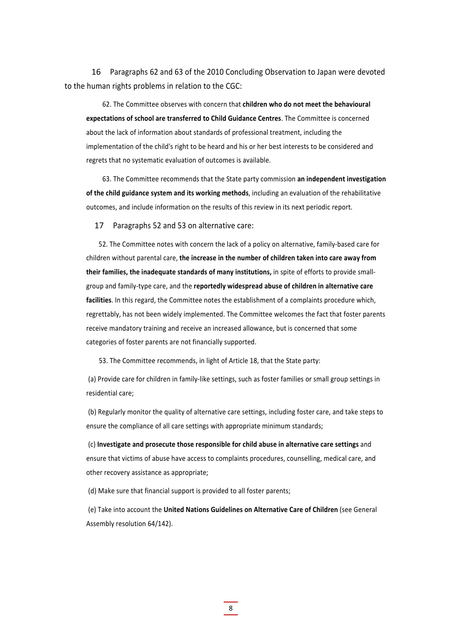16 Paragraphs 62 and 63 of the 2010 Concluding Observation to Japan were devoted to the human rights problems in relation to the CGC:

62. The Committee observes with concern that **children who do not meet the behavioural expectations of school are transferred to Child Guidance Centres**. The Committee is concerned about the lack of information about standards of professional treatment, including the implementation of the child's right to be heard and his or her best interests to be considered and regrets that no systematic evaluation of outcomes is available.

63. The Committee recommends that the State party commission **an independent investigation of the child guidance system and its working methods**, including an evaluation of the rehabilitative outcomes, and include information on the results of this review in its next periodic report.

17 Paragraphs 52 and 53 on alternative care:

52. The Committee notes with concern the lack of a policy on alternative, family-based care for children without parental care, **the increase in the number of children taken into care away from their families, the inadequate standards of many institutions,** in spite of efforts to provide small‐ group and family‐type care, and the **reportedly widespread abuse of children in alternative care facilities**. In this regard, the Committee notes the establishment of a complaints procedure which, regrettably, has not been widely implemented. The Committee welcomes the fact that foster parents receive mandatory training and receive an increased allowance, but is concerned that some categories of foster parents are not financially supported.

53. The Committee recommends, in light of Article 18, that the State party:

(a) Provide care for children in family‐like settings, such as foster families or small group settings in residential care;

(b) Regularly monitor the quality of alternative care settings, including foster care, and take steps to ensure the compliance of all care settings with appropriate minimum standards;

(c) **Investigate and prosecute those responsible for child abuse in alternative care settings** and ensure that victims of abuse have access to complaints procedures, counselling, medical care, and other recovery assistance as appropriate;

(d) Make sure that financial support is provided to all foster parents;

(e) Take into account the **United Nations Guidelines on Alternative Care of Children** (see General Assembly resolution 64/142).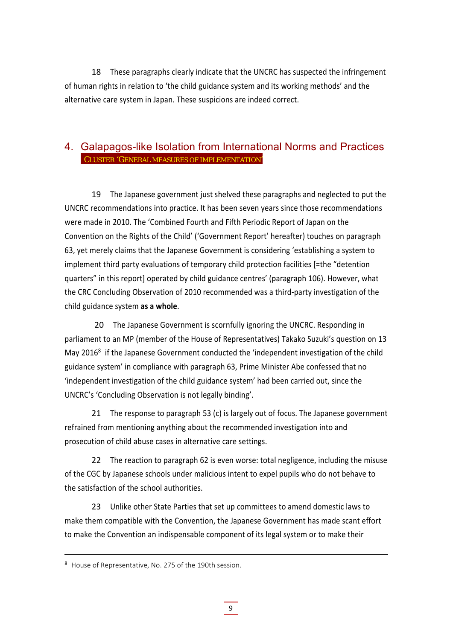18 These paragraphs clearly indicate that the UNCRC has suspected the infringement of human rights in relation to 'the child guidance system and its working methods' and the alternative care system in Japan. These suspicions are indeed correct.

#### 4. Galapagos-like Isolation from International Norms and Practices CLUSTER 'GENERAL MEASURES OF IMPLEMENTATION'

19 The Japanese government just shelved these paragraphs and neglected to put the UNCRC recommendations into practice. It has been seven years since those recommendations were made in 2010. The 'Combined Fourth and Fifth Periodic Report of Japan on the Convention on the Rights of the Child' ('Government Report' hereafter) touches on paragraph 63, yet merely claims that the Japanese Government is considering 'establishing a system to implement third party evaluations of temporary child protection facilities [=the "detention quarters" in this report] operated by child guidance centres' (paragraph 106). However, what the CRC Concluding Observation of 2010 recommended was a third‐party investigation of the child guidance system **as a whole**.

20 The Japanese Government is scornfully ignoring the UNCRC. Responding in parliament to an MP (member of the House of Representatives) Takako Suzuki's question on 13 May 2016<sup>8</sup> if the Japanese Government conducted the 'independent investigation of the child guidance system' in compliance with paragraph 63, Prime Minister Abe confessed that no 'independent investigation of the child guidance system' had been carried out, since the UNCRC's 'Concluding Observation is not legally binding'.

21 The response to paragraph 53 (c) is largely out of focus. The Japanese government refrained from mentioning anything about the recommended investigation into and prosecution of child abuse cases in alternative care settings.

22 The reaction to paragraph 62 is even worse: total negligence, including the misuse of the CGC by Japanese schools under malicious intent to expel pupils who do not behave to the satisfaction of the school authorities.

23 Unlike other State Parties that set up committees to amend domestic laws to make them compatible with the Convention, the Japanese Government has made scant effort to make the Convention an indispensable component of its legal system or to make their

9

<sup>8</sup> House of Representative, No. 275 of the 190th session.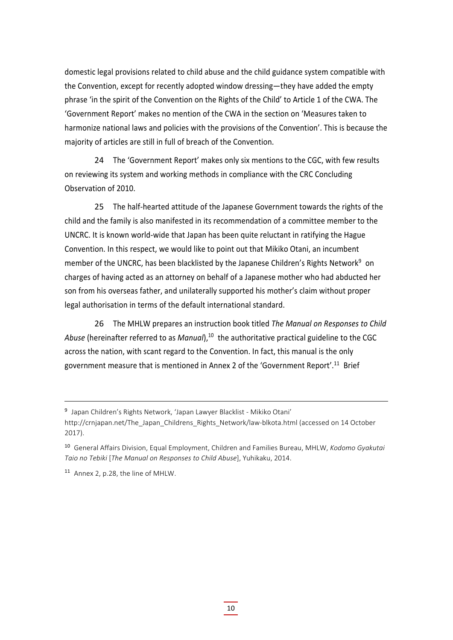domestic legal provisions related to child abuse and the child guidance system compatible with the Convention, except for recently adopted window dressing—they have added the empty phrase 'in the spirit of the Convention on the Rights of the Child' to Article 1 of the CWA. The 'Government Report' makes no mention of the CWA in the section on 'Measures taken to harmonize national laws and policies with the provisions of the Convention'. This is because the majority of articles are still in full of breach of the Convention.

24 The 'Government Report' makes only six mentions to the CGC, with few results on reviewing its system and working methods in compliance with the CRC Concluding Observation of 2010.

25 The half-hearted attitude of the Japanese Government towards the rights of the child and the family is also manifested in its recommendation of a committee member to the UNCRC. It is known world‐wide that Japan has been quite reluctant in ratifying the Hague Convention. In this respect, we would like to point out that Mikiko Otani, an incumbent member of the UNCRC, has been blacklisted by the Japanese Children's Rights Network<sup>9</sup> on charges of having acted as an attorney on behalf of a Japanese mother who had abducted her son from his overseas father, and unilaterally supported his mother's claim without proper legal authorisation in terms of the default international standard.

26 The MHLW prepares an instruction book titled *The Manual on Responses to Child Abuse* (hereinafter referred to as *Manual*),<sup>10</sup> the authoritative practical guideline to the CGC across the nation, with scant regard to the Convention. In fact, this manual is the only government measure that is mentioned in Annex 2 of the 'Government Report'.<sup>11</sup> Brief

<sup>9</sup> Japan Children's Rights Network, 'Japan Lawyer Blacklist ‐ Mikiko Otani' http://crnjapan.net/The Japan Childrens Rights Network/law‐blkota.html (accessed on 14 October 2017).

<sup>10</sup> General Affairs Division, Equal Employment, Children and Families Bureau, MHLW, *Kodomo Gyakutai Taio no Tebiki* [*The Manual on Responses to Child Abuse*], Yuhikaku, 2014.

<sup>11</sup> Annex 2, p.28, the line of MHLW.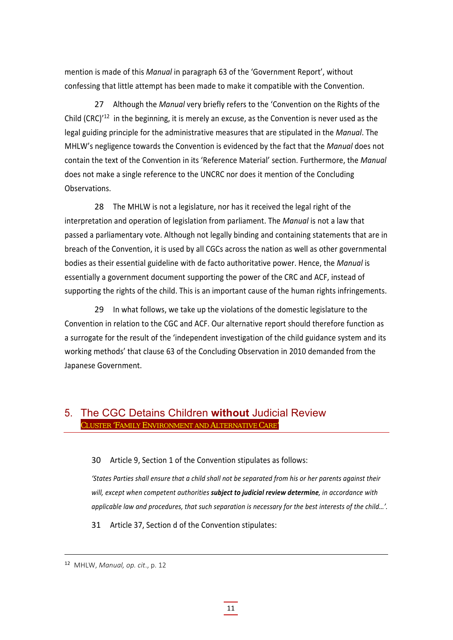mention is made of this *Manual* in paragraph 63 of the 'Government Report', without confessing that little attempt has been made to make it compatible with the Convention.

27 Although the *Manual* very briefly refers to the 'Convention on the Rights of the Child (CRC)<sup>'12</sup> in the beginning, it is merely an excuse, as the Convention is never used as the legal guiding principle for the administrative measures that are stipulated in the *Manual*. The MHLW's negligence towards the Convention is evidenced by the fact that the *Manual* does not contain the text of the Convention in its 'Reference Material' section. Furthermore, the *Manual* does not make a single reference to the UNCRC nor does it mention of the Concluding Observations.

28 The MHLW is not a legislature, nor has it received the legal right of the interpretation and operation of legislation from parliament. The *Manual* is not a law that passed a parliamentary vote. Although not legally binding and containing statements that are in breach of the Convention, it is used by all CGCs across the nation as well as other governmental bodies as their essential guideline with de facto authoritative power. Hence, the *Manual* is essentially a government document supporting the power of the CRC and ACF, instead of supporting the rights of the child. This is an important cause of the human rights infringements.

29 In what follows, we take up the violations of the domestic legislature to the Convention in relation to the CGC and ACF. Our alternative report should therefore function as a surrogate for the result of the 'independent investigation of the child guidance system and its working methods' that clause 63 of the Concluding Observation in 2010 demanded from the Japanese Government.

#### 5. The CGC Detains Children **without** Judicial Review CLUSTER 'FAMILY ENVIRONMENT AND ALTERNATIVE CARE'

#### 30 Article 9, Section 1 of the Convention stipulates as follows:

'States Parties shall ensure that a child shall not be separated from his or her parents against their *will, except when competent authorities subject to judicial review determine, in accordance with applicable law and procedures, that such separation is necessary for the best interests of the child…'.*

31 Article 37, Section d of the Convention stipulates:

<sup>12</sup> MHLW, *Manual, op. cit*., p. 12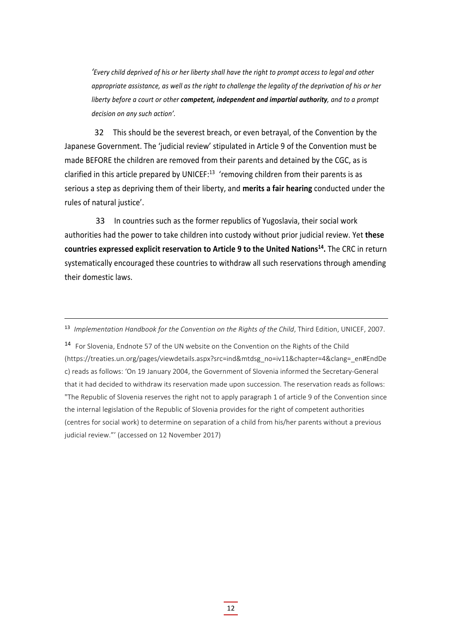'Every child deprived of his or her liberty shall have the right to prompt access to legal and other appropriate assistance, as well as the right to challenge the legality of the deprivation of his or her *liberty before a court or other competent, independent and impartial authority, and to a prompt decision on any such action'.*

32 This should be the severest breach, or even betrayal, of the Convention by the Japanese Government. The 'judicial review' stipulated in Article 9 of the Convention must be made BEFORE the children are removed from their parents and detained by the CGC, as is clarified in this article prepared by UNICEF: $13$  'removing children from their parents is as serious a step as depriving them of their liberty, and **merits a fair hearing** conducted under the rules of natural justice'.

33 In countries such as the former republics of Yugoslavia, their social work authorities had the power to take children into custody without prior judicial review. Yet **these countries expressed explicit reservation to Article 9 to the United Nations14.** The CRC in return systematically encouraged these countries to withdraw all such reservations through amending their domestic laws.

<sup>14</sup> For Slovenia, Endnote 57 of the UN website on the Convention on the Rights of the Child (https://treaties.un.org/pages/viewdetails.aspx?src=ind&mtdsg\_no=iv11&chapter=4&clang=\_en#EndDe c) reads as follows: 'On 19 January 2004, the Government of Slovenia informed the Secretary‐General that it had decided to withdraw its reservation made upon succession. The reservation reads as follows: "The Republic of Slovenia reserves the right not to apply paragraph 1 of article 9 of the Convention since the internal legislation of the Republic of Slovenia provides for the right of competent authorities (centres for social work) to determine on separation of a child from his/her parents without a previous judicial review."' (accessed on 12 November 2017)

<sup>13</sup> *Implementation Handbook for the Convention on the Rights of the Child*, Third Edition, UNICEF, 2007.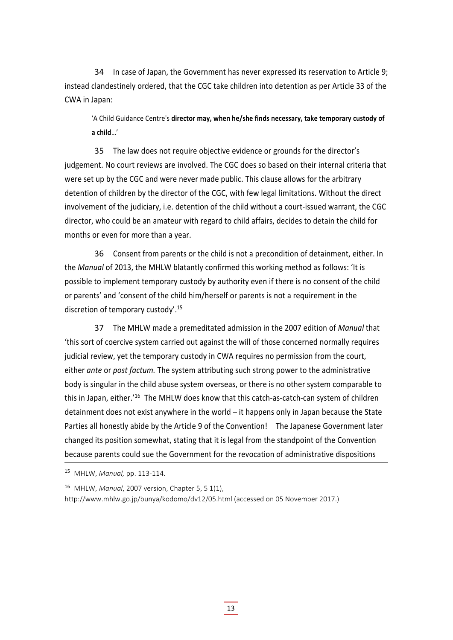34 In case of Japan, the Government has never expressed its reservation to Article 9; instead clandestinely ordered, that the CGC take children into detention as per Article 33 of the CWA in Japan:

'A Child Guidance Centre's **director may, when he/she finds necessary, take temporary custody of a child**…'

35 The law does not require objective evidence or grounds for the director's judgement. No court reviews are involved. The CGC does so based on their internal criteria that were set up by the CGC and were never made public. This clause allows for the arbitrary detention of children by the director of the CGC, with few legal limitations. Without the direct involvement of the judiciary, i.e. detention of the child without a court‐issued warrant, the CGC director, who could be an amateur with regard to child affairs, decides to detain the child for months or even for more than a year.

36 Consent from parents or the child is not a precondition of detainment, either. In the *Manual* of 2013, the MHLW blatantly confirmed this working method as follows: 'It is possible to implement temporary custody by authority even if there is no consent of the child or parents' and 'consent of the child him/herself or parents is not a requirement in the discretion of temporary custody'.<sup>15</sup>

37 The MHLW made a premeditated admission in the 2007 edition of *Manual* that 'this sort of coercive system carried out against the will of those concerned normally requires judicial review, yet the temporary custody in CWA requires no permission from the court, either *ante* or *post factum.* The system attributing such strong power to the administrative body is singular in the child abuse system overseas, or there is no other system comparable to this in Japan, either.'<sup>16</sup> The MHLW does know that this catch-as-catch-can system of children detainment does not exist anywhere in the world – it happens only in Japan because the State Parties all honestly abide by the Article 9 of the Convention! The Japanese Government later changed its position somewhat, stating that it is legal from the standpoint of the Convention because parents could sue the Government for the revocation of administrative dispositions

<sup>15</sup> MHLW, *Manual,* pp. 113‐114.

<sup>16</sup> MHLW, *Manual*, 2007 version, Chapter 5, 5 1(1),

http://www.mhlw.go.jp/bunya/kodomo/dv12/05.html (accessed on 05 November 2017.)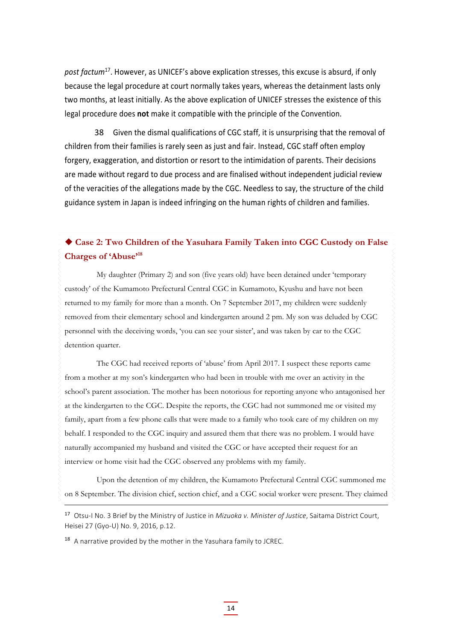*post factum*17. However, as UNICEF's above explication stresses, this excuse is absurd, if only because the legal procedure at court normally takes years, whereas the detainment lasts only two months, at least initially. As the above explication of UNICEF stresses the existence of this legal procedure does **not** make it compatible with the principle of the Convention.

38 Given the dismal qualifications of CGC staff, it is unsurprising that the removal of children from their families is rarely seen as just and fair. Instead, CGC staff often employ forgery, exaggeration, and distortion or resort to the intimidation of parents. Their decisions are made without regard to due process and are finalised without independent judicial review of the veracities of the allegations made by the CGC. Needless to say, the structure of the child guidance system in Japan is indeed infringing on the human rights of children and families.

#### **Case 2: Two Children of the Yasuhara Family Taken into CGC Custody on False Charges of 'Abuse'18**

My daughter (Primary 2) and son (five years old) have been detained under 'temporary custody' of the Kumamoto Prefectural Central CGC in Kumamoto, Kyushu and have not been returned to my family for more than a month. On 7 September 2017, my children were suddenly removed from their elementary school and kindergarten around 2 pm. My son was deluded by CGC personnel with the deceiving words, 'you can see your sister', and was taken by car to the CGC detention quarter.

The CGC had received reports of 'abuse' from April 2017. I suspect these reports came from a mother at my son's kindergarten who had been in trouble with me over an activity in the school's parent association. The mother has been notorious for reporting anyone who antagonised her at the kindergarten to the CGC. Despite the reports, the CGC had not summoned me or visited my family, apart from a few phone calls that were made to a family who took care of my children on my behalf. I responded to the CGC inquiry and assured them that there was no problem. I would have naturally accompanied my husband and visited the CGC or have accepted their request for an interview or home visit had the CGC observed any problems with my family.

Upon the detention of my children, the Kumamoto Prefectural Central CGC summoned me on 8 September. The division chief, section chief, and a CGC social worker were present. They claimed

<sup>17</sup> Otsu‐I No. 3 Brief by the Ministry of Justice in *Mizuoka v. Minister of Justice*, Saitama District Court, Heisei 27 (Gyo‐U) No. 9, 2016, p.12.

 $18$  A narrative provided by the mother in the Yasuhara family to JCREC.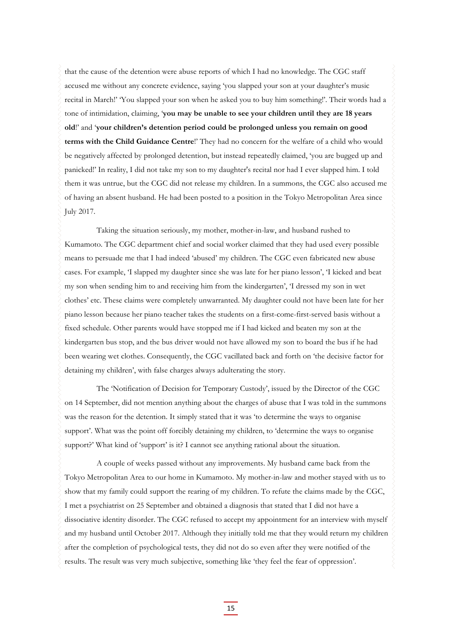that the cause of the detention were abuse reports of which I had no knowledge. The CGC staff accused me without any concrete evidence, saying 'you slapped your son at your daughter's music recital in March!' 'You slapped your son when he asked you to buy him something!'. Their words had a tone of intimidation, claiming, '**you may be unable to see your children until they are 18 years old**!' and '**your children's detention period could be prolonged unless you remain on good terms with the Child Guidance Centre**!' They had no concern for the welfare of a child who would be negatively affected by prolonged detention, but instead repeatedly claimed, 'you are bugged up and panicked!' In reality, I did not take my son to my daughter's recital nor had I ever slapped him. I told them it was untrue, but the CGC did not release my children. In a summons, the CGC also accused me of having an absent husband. He had been posted to a position in the Tokyo Metropolitan Area since July 2017.

Taking the situation seriously, my mother, mother-in-law, and husband rushed to Kumamoto. The CGC department chief and social worker claimed that they had used every possible means to persuade me that I had indeed 'abused' my children. The CGC even fabricated new abuse cases. For example, 'I slapped my daughter since she was late for her piano lesson', 'I kicked and beat my son when sending him to and receiving him from the kindergarten', 'I dressed my son in wet clothes' etc. These claims were completely unwarranted. My daughter could not have been late for her piano lesson because her piano teacher takes the students on a first-come-first-served basis without a fixed schedule. Other parents would have stopped me if I had kicked and beaten my son at the kindergarten bus stop, and the bus driver would not have allowed my son to board the bus if he had been wearing wet clothes. Consequently, the CGC vacillated back and forth on 'the decisive factor for detaining my children', with false charges always adulterating the story.

The 'Notification of Decision for Temporary Custody', issued by the Director of the CGC on 14 September, did not mention anything about the charges of abuse that I was told in the summons was the reason for the detention. It simply stated that it was 'to determine the ways to organise support'. What was the point off forcibly detaining my children, to 'determine the ways to organise support?' What kind of 'support' is it? I cannot see anything rational about the situation.

A couple of weeks passed without any improvements. My husband came back from the Tokyo Metropolitan Area to our home in Kumamoto. My mother-in-law and mother stayed with us to show that my family could support the rearing of my children. To refute the claims made by the CGC, I met a psychiatrist on 25 September and obtained a diagnosis that stated that I did not have a dissociative identity disorder. The CGC refused to accept my appointment for an interview with myself and my husband until October 2017. Although they initially told me that they would return my children after the completion of psychological tests, they did not do so even after they were notified of the results. The result was very much subjective, something like 'they feel the fear of oppression'.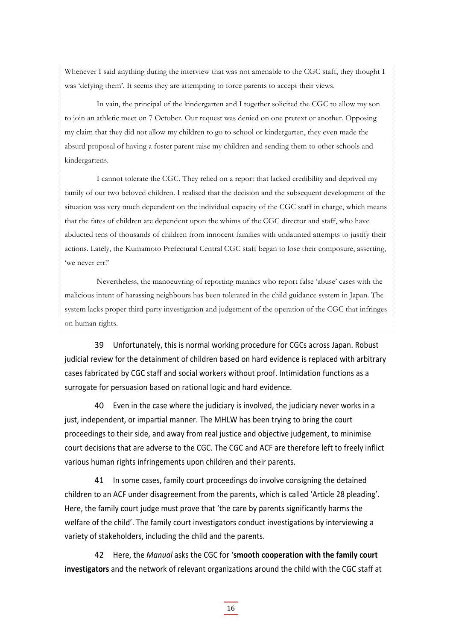Whenever I said anything during the interview that was not amenable to the CGC staff, they thought I was 'defying them'. It seems they are attempting to force parents to accept their views.

In vain, the principal of the kindergarten and I together solicited the CGC to allow my son to join an athletic meet on 7 October. Our request was denied on one pretext or another. Opposing my claim that they did not allow my children to go to school or kindergarten, they even made the absurd proposal of having a foster parent raise my children and sending them to other schools and kindergartens.

I cannot tolerate the CGC. They relied on a report that lacked credibility and deprived my family of our two beloved children. I realised that the decision and the subsequent development of the situation was very much dependent on the individual capacity of the CGC staff in charge, which means that the fates of children are dependent upon the whims of the CGC director and staff, who have abducted tens of thousands of children from innocent families with undaunted attempts to justify their actions. Lately, the Kumamoto Prefectural Central CGC staff began to lose their composure, asserting, 'we never err!'

Nevertheless, the manoeuvring of reporting maniacs who report false 'abuse' cases with the malicious intent of harassing neighbours has been tolerated in the child guidance system in Japan. The system lacks proper third-party investigation and judgement of the operation of the CGC that infringes on human rights.

39 Unfortunately, this is normal working procedure for CGCs across Japan. Robust judicial review for the detainment of children based on hard evidence is replaced with arbitrary cases fabricated by CGC staff and social workers without proof. Intimidation functions as a surrogate for persuasion based on rational logic and hard evidence.

40 Even in the case where the judiciary is involved, the judiciary never works in a just, independent, or impartial manner. The MHLW has been trying to bring the court proceedings to their side, and away from real justice and objective judgement, to minimise court decisions that are adverse to the CGC. The CGC and ACF are therefore left to freely inflict various human rights infringements upon children and their parents.

41 In some cases, family court proceedings do involve consigning the detained children to an ACF under disagreement from the parents, which is called 'Article 28 pleading'. Here, the family court judge must prove that 'the care by parents significantly harms the welfare of the child'. The family court investigators conduct investigations by interviewing a variety of stakeholders, including the child and the parents.

42 Here, the *Manual* asks the CGC for '**smooth cooperation with the family court investigators** and the network of relevant organizations around the child with the CGC staff at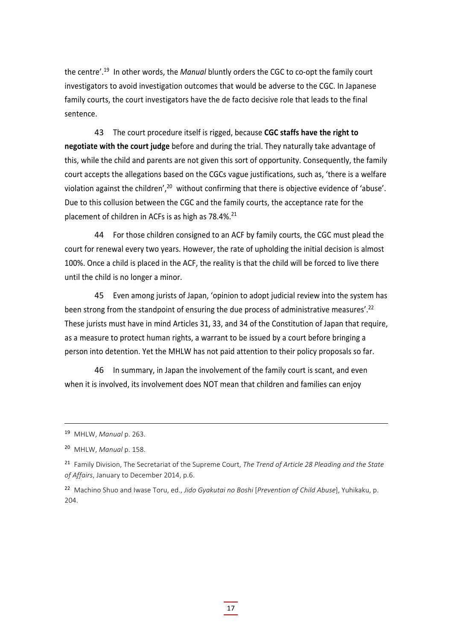the centre'.<sup>19</sup> In other words, the *Manual* bluntly orders the CGC to co-opt the family court investigators to avoid investigation outcomes that would be adverse to the CGC. In Japanese family courts, the court investigators have the de facto decisive role that leads to the final sentence.

43 The court procedure itself is rigged, because **CGC staffs have the right to negotiate with the court judge** before and during the trial. They naturally take advantage of this, while the child and parents are not given this sort of opportunity. Consequently, the family court accepts the allegations based on the CGCs vague justifications, such as, 'there is a welfare violation against the children',<sup>20</sup> without confirming that there is objective evidence of 'abuse'. Due to this collusion between the CGC and the family courts, the acceptance rate for the placement of children in ACFs is as high as 78.4%.<sup>21</sup>

44 For those children consigned to an ACF by family courts, the CGC must plead the court for renewal every two years. However, the rate of upholding the initial decision is almost 100%. Once a child is placed in the ACF, the reality is that the child will be forced to live there until the child is no longer a minor.

45 Even among jurists of Japan, 'opinion to adopt judicial review into the system has been strong from the standpoint of ensuring the due process of administrative measures'.<sup>22</sup> These jurists must have in mind Articles 31, 33, and 34 of the Constitution of Japan that require, as a measure to protect human rights, a warrant to be issued by a court before bringing a person into detention. Yet the MHLW has not paid attention to their policy proposals so far.

46 In summary, in Japan the involvement of the family court is scant, and even when it is involved, its involvement does NOT mean that children and families can enjoy

<sup>19</sup> MHLW, *Manual* p. 263.

<sup>20</sup> MHLW, *Manual* p. 158.

<sup>21</sup> Family Division, The Secretariat of the Supreme Court, *The Trend of Article 28 Pleading and the State of Affairs*, January to December 2014, p.6.

<sup>22</sup> Machino Shuo and Iwase Toru, ed., *Jido Gyakutai no Boshi* [*Prevention of Child Abuse*], Yuhikaku, p. 204.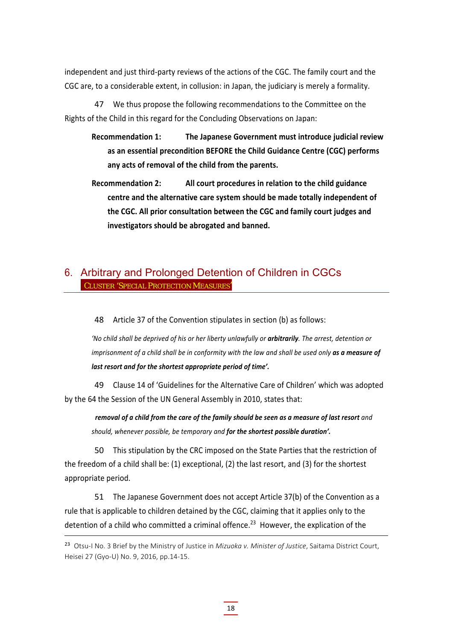independent and just third‐party reviews of the actions of the CGC. The family court and the CGC are, to a considerable extent, in collusion: in Japan, the judiciary is merely a formality.

47 We thus propose the following recommendations to the Committee on the Rights of the Child in this regard for the Concluding Observations on Japan:

- **Recommendation 1: The Japanese Government must introduce judicial review as an essential precondition BEFORE the Child Guidance Centre (CGC) performs any acts of removal of the child from the parents.**
- **Recommendation 2: All court procedures in relation to the child guidance centre and the alternative care system should be made totally independent of the CGC. All prior consultation between the CGC and family court judges and investigators should be abrogated and banned.**

### 6. Arbitrary and Prolonged Detention of Children in CGCs CLUSTER 'SPECIAL PROTECTION MEASURES'

48 Article 37 of the Convention stipulates in section (b) as follows:

'No child shall be deprived of his or her liberty unlawfully or arbitrarily. The arrest, detention or imprisonment of a child shall be in conformity with the law and shall be used only as a measure of *last resort and for the shortest appropriate period of time'.*

49 Clause 14 of 'Guidelines for the Alternative Care of Children' which was adopted by the 64 the Session of the UN General Assembly in 2010, states that:

removal of a child from the care of the family should be seen as a measure of last resort and *should, whenever possible, be temporary and for the shortest possible duration'.*

50 This stipulation by the CRC imposed on the State Parties that the restriction of the freedom of a child shall be: (1) exceptional, (2) the last resort, and (3) for the shortest appropriate period.

51 The Japanese Government does not accept Article 37(b) of the Convention as a rule that is applicable to children detained by the CGC, claiming that it applies only to the detention of a child who committed a criminal offence.<sup>23</sup> However, the explication of the

<sup>&</sup>lt;sup>23</sup> Otsu-I No. 3 Brief by the Ministry of Justice in *Mizuoka v. Minister of Justice*, Saitama District Court, Heisei 27 (Gyo‐U) No. 9, 2016, pp.14‐15.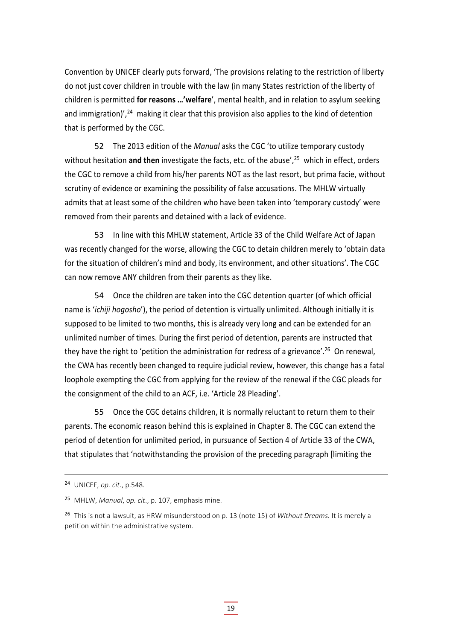Convention by UNICEF clearly puts forward, 'The provisions relating to the restriction of liberty do not just cover children in trouble with the law (in many States restriction of the liberty of children is permitted **for reasons …'welfare**', mental health, and in relation to asylum seeking and immigration)',  $24$  making it clear that this provision also applies to the kind of detention that is performed by the CGC.

52 The 2013 edition of the *Manual* asks the CGC 'to utilize temporary custody without hesitation and then investigate the facts, etc. of the abuse',<sup>25</sup> which in effect, orders the CGC to remove a child from his/her parents NOT as the last resort, but prima facie, without scrutiny of evidence or examining the possibility of false accusations. The MHLW virtually admits that at least some of the children who have been taken into 'temporary custody' were removed from their parents and detained with a lack of evidence.

53 In line with this MHLW statement, Article 33 of the Child Welfare Act of Japan was recently changed for the worse, allowing the CGC to detain children merely to 'obtain data for the situation of children's mind and body, its environment, and other situations'. The CGC can now remove ANY children from their parents as they like.

54 Once the children are taken into the CGC detention quarter (of which official name is '*ichiji hogosho*'), the period of detention is virtually unlimited. Although initially it is supposed to be limited to two months, this is already very long and can be extended for an unlimited number of times. During the first period of detention, parents are instructed that they have the right to 'petition the administration for redress of a grievance'.<sup>26</sup> On renewal, the CWA has recently been changed to require judicial review, however, this change has a fatal loophole exempting the CGC from applying for the review of the renewal if the CGC pleads for the consignment of the child to an ACF, i.e. 'Article 28 Pleading'.

55 Once the CGC detains children, it is normally reluctant to return them to their parents. The economic reason behind this is explained in Chapter 8. The CGC can extend the period of detention for unlimited period, in pursuance of Section 4 of Article 33 of the CWA, that stipulates that 'notwithstanding the provision of the preceding paragraph [limiting the

<sup>24</sup> UNICEF, *op. cit*., p.548.

<sup>25</sup> MHLW, *Manual*, *op. cit*., p. 107, emphasis mine.

<sup>26</sup> This is not a lawsuit, as HRW misunderstood on p. 13 (note 15) of *Without Dreams.* It is merely a petition within the administrative system.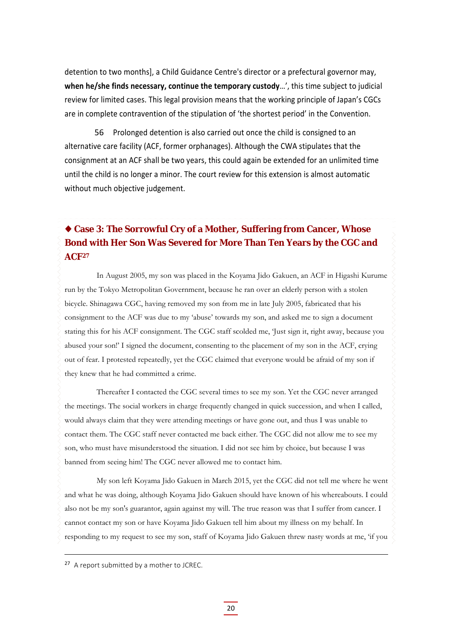detention to two months], a Child Guidance Centre's director or a prefectural governor may, **when he/she finds necessary, continue the temporary custody**…', this time subject to judicial review for limited cases. This legal provision means that the working principle of Japan's CGCs are in complete contravention of the stipulation of 'the shortest period' in the Convention.

56 Prolonged detention is also carried out once the child is consigned to an alternative care facility (ACF, former orphanages). Although the CWA stipulates that the consignment at an ACF shall be two years, this could again be extended for an unlimited time until the child is no longer a minor. The court review for this extension is almost automatic without much objective judgement.

### **Case 3: The Sorrowful Cry of a Mother, Suffering from Cancer, Whose Bond with Her Son Was Severed for More Than Ten Years by the CGC and ACF27**

In August 2005, my son was placed in the Koyama Jido Gakuen, an ACF in Higashi Kurume run by the Tokyo Metropolitan Government, because he ran over an elderly person with a stolen bicycle. Shinagawa CGC, having removed my son from me in late July 2005, fabricated that his consignment to the ACF was due to my 'abuse' towards my son, and asked me to sign a document stating this for his ACF consignment. The CGC staff scolded me, 'Just sign it, right away, because you abused your son!' I signed the document, consenting to the placement of my son in the ACF, crying out of fear. I protested repeatedly, yet the CGC claimed that everyone would be afraid of my son if they knew that he had committed a crime.

Thereafter I contacted the CGC several times to see my son. Yet the CGC never arranged the meetings. The social workers in charge frequently changed in quick succession, and when I called, would always claim that they were attending meetings or have gone out, and thus I was unable to contact them. The CGC staff never contacted me back either. The CGC did not allow me to see my son, who must have misunderstood the situation. I did not see him by choice, but because I was banned from seeing him! The CGC never allowed me to contact him.

My son left Koyama Jido Gakuen in March 2015, yet the CGC did not tell me where he went and what he was doing, although Koyama Jido Gakuen should have known of his whereabouts. I could also not be my son's guarantor, again against my will. The true reason was that I suffer from cancer. I cannot contact my son or have Koyama Jido Gakuen tell him about my illness on my behalf. In responding to my request to see my son, staff of Koyama Jido Gakuen threw nasty words at me, 'if you

<sup>&</sup>lt;sup>27</sup> A report submitted by a mother to JCREC.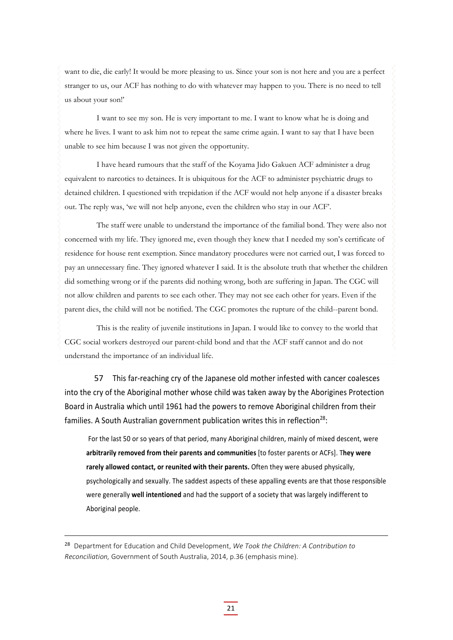want to die, die early! It would be more pleasing to us. Since your son is not here and you are a perfect stranger to us, our ACF has nothing to do with whatever may happen to you. There is no need to tell us about your son!'

I want to see my son. He is very important to me. I want to know what he is doing and where he lives. I want to ask him not to repeat the same crime again. I want to say that I have been unable to see him because I was not given the opportunity.

I have heard rumours that the staff of the Koyama Jido Gakuen ACF administer a drug equivalent to narcotics to detainees. It is ubiquitous for the ACF to administer psychiatric drugs to detained children. I questioned with trepidation if the ACF would not help anyone if a disaster breaks out. The reply was, 'we will not help anyone, even the children who stay in our ACF'.

The staff were unable to understand the importance of the familial bond. They were also not concerned with my life. They ignored me, even though they knew that I needed my son's certificate of residence for house rent exemption. Since mandatory procedures were not carried out, I was forced to pay an unnecessary fine. They ignored whatever I said. It is the absolute truth that whether the children did something wrong or if the parents did nothing wrong, both are suffering in Japan. The CGC will not allow children and parents to see each other. They may not see each other for years. Even if the parent dies, the child will not be notified. The CGC promotes the rupture of the child--parent bond.

This is the reality of juvenile institutions in Japan. I would like to convey to the world that CGC social workers destroyed our parent-child bond and that the ACF staff cannot and do not understand the importance of an individual life.

57 This far-reaching cry of the Japanese old mother infested with cancer coalesces into the cry of the Aboriginal mother whose child was taken away by the Aborigines Protection Board in Australia which until 1961 had the powers to remove Aboriginal children from their families. A South Australian government publication writes this in reflection<sup>28</sup>:

For the last 50 or so years of that period, many Aboriginal children, mainly of mixed descent, were **arbitrarily removed from their parents and communities** [to foster parents or ACFs]. T**hey were rarely allowed contact, or reunited with their parents.** Often they were abused physically, psychologically and sexually. The saddest aspects of these appalling events are that those responsible were generally **well intentioned** and had the support of a society that was largely indifferent to Aboriginal people.

<sup>28</sup> Department for Education and Child Development, *We Took the Children: A Contribution to Reconciliation,* Government of South Australia, 2014, p.36 (emphasis mine).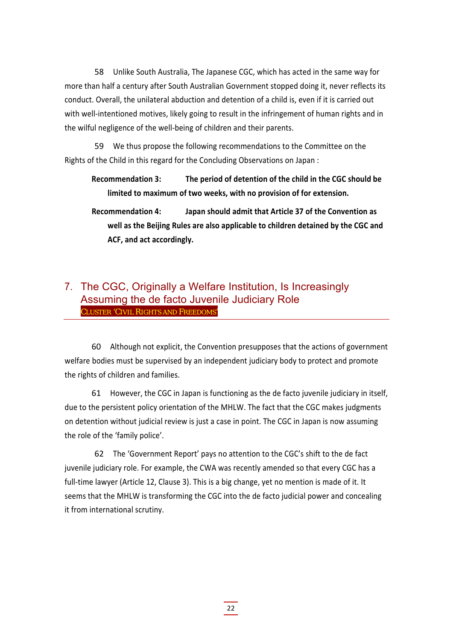58 Unlike South Australia, The Japanese CGC, which has acted in the same way for more than half a century after South Australian Government stopped doing it, never reflects its conduct. Overall, the unilateral abduction and detention of a child is, even if it is carried out with well-intentioned motives, likely going to result in the infringement of human rights and in the wilful negligence of the well‐being of children and their parents.

59 We thus propose the following recommendations to the Committee on the Rights of the Child in this regard for the Concluding Observations on Japan :

**Recommendation 3: The period of detention of the child in the CGC should be limited to maximum of two weeks, with no provision of for extension.**

**Recommendation 4: Japan should admit that Article 37 of the Convention as well as the Beijing Rules are also applicable to children detained by the CGC and ACF, and act accordingly.**

#### 7. The CGC, Originally a Welfare Institution, Is Increasingly Assuming the de facto Juvenile Judiciary Role CLUSTER 'CIVIL RIGHTS AND FREEDOMS'

60 Although not explicit, the Convention presupposes that the actions of government welfare bodies must be supervised by an independent judiciary body to protect and promote the rights of children and families.

61 However, the CGC in Japan is functioning as the de facto juvenile judiciary in itself, due to the persistent policy orientation of the MHLW. The fact that the CGC makes judgments on detention without judicial review is just a case in point. The CGC in Japan is now assuming the role of the 'family police'.

62 The 'Government Report' pays no attention to the CGC's shift to the de fact juvenile judiciary role. For example, the CWA was recently amended so that every CGC has a full-time lawyer (Article 12, Clause 3). This is a big change, yet no mention is made of it. It seems that the MHLW is transforming the CGC into the de facto judicial power and concealing it from international scrutiny.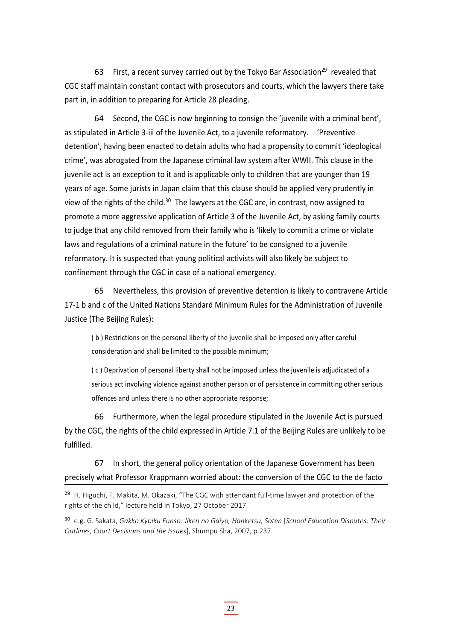63 First, a recent survey carried out by the Tokyo Bar Association<sup>29</sup> revealed that CGC staff maintain constant contact with prosecutors and courts, which the lawyers there take part in, in addition to preparing for Article 28 pleading.

64 Second, the CGC is now beginning to consign the 'juvenile with a criminal bent', as stipulated in Article 3‐iii of the Juvenile Act, to a juvenile reformatory. 'Preventive detention', having been enacted to detain adults who had a propensity to commit 'ideological crime', was abrogated from the Japanese criminal law system after WWII. This clause in the juvenile act is an exception to it and is applicable only to children that are younger than 19 years of age. Some jurists in Japan claim that this clause should be applied very prudently in view of the rights of the child.<sup>30</sup> The lawyers at the CGC are, in contrast, now assigned to promote a more aggressive application of Article 3 of the Juvenile Act, by asking family courts to judge that any child removed from their family who is 'likely to commit a crime or violate laws and regulations of a criminal nature in the future' to be consigned to a juvenile reformatory. It is suspected that young political activists will also likely be subject to confinement through the CGC in case of a national emergency.

65 Nevertheless, this provision of preventive detention is likely to contravene Article 17‐1 b and c of the United Nations Standard Minimum Rules for the Administration of Juvenile Justice (The Beijing Rules):

( b ) Restrictions on the personal liberty of the juvenile shall be imposed only after careful consideration and shall be limited to the possible minimum;

( c ) Deprivation of personal liberty shall not be imposed unless the juvenile is adjudicated of a serious act involving violence against another person or of persistence in committing other serious offences and unless there is no other appropriate response;

66 Furthermore, when the legal procedure stipulated in the Juvenile Act is pursued by the CGC, the rights of the child expressed in Article 7.1 of the Beijing Rules are unlikely to be fulfilled.

67 In short, the general policy orientation of the Japanese Government has been precisely what Professor Krappmann worried about: the conversion of the CGC to the de facto

<sup>30</sup> e.g. G. Sakata, *Gakko Kyoiku Funso: Jiken no Gaiyo, Hanketsu, Soten* [*School Education Disputes: Their Outlines, Court Decisions and the Issues*], Shumpu Sha, 2007, p.237.

<sup>&</sup>lt;sup>29</sup> H. Higuchi, F. Makita, M. Okazaki, "The CGC with attendant full-time lawyer and protection of the rights of the child," lecture held in Tokyo, 27 October 2017.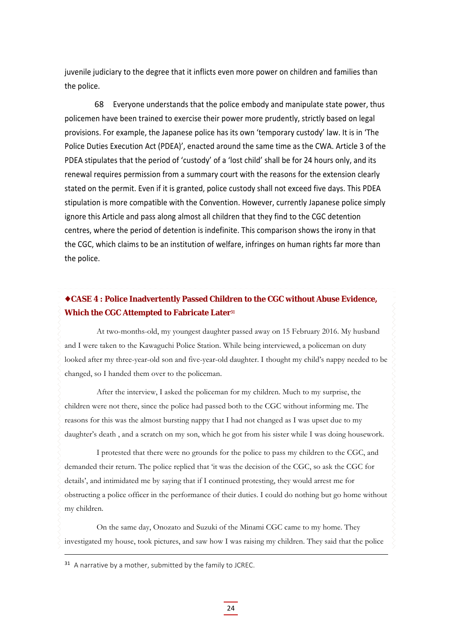juvenile judiciary to the degree that it inflicts even more power on children and families than the police.

68 Everyone understands that the police embody and manipulate state power, thus policemen have been trained to exercise their power more prudently, strictly based on legal provisions. For example, the Japanese police has its own 'temporary custody' law. It is in 'The Police Duties Execution Act (PDEA)', enacted around the same time as the CWA. Article 3 of the PDEA stipulates that the period of 'custody' of a 'lost child' shall be for 24 hours only, and its renewal requires permission from a summary court with the reasons for the extension clearly stated on the permit. Even if it is granted, police custody shall not exceed five days. This PDEA stipulation is more compatible with the Convention. However, currently Japanese police simply ignore this Article and pass along almost all children that they find to the CGC detention centres, where the period of detention is indefinite. This comparison shows the irony in that the CGC, which claims to be an institution of welfare, infringes on human rights far more than the police.

#### **CASE 4 : Police Inadvertently Passed Children to the CGC without Abuse Evidence, Which the CGC Attempted to Fabricate Later<sup>31</sup>**

At two-months-old, my youngest daughter passed away on 15 February 2016. My husband and I were taken to the Kawaguchi Police Station. While being interviewed, a policeman on duty looked after my three-year-old son and five-year-old daughter. I thought my child's nappy needed to be changed, so I handed them over to the policeman.

After the interview, I asked the policeman for my children. Much to my surprise, the children were not there, since the police had passed both to the CGC without informing me. The reasons for this was the almost bursting nappy that I had not changed as I was upset due to my daughter's death , and a scratch on my son, which he got from his sister while I was doing housework.

I protested that there were no grounds for the police to pass my children to the CGC, and demanded their return. The police replied that 'it was the decision of the CGC, so ask the CGC for details', and intimidated me by saying that if I continued protesting, they would arrest me for obstructing a police officer in the performance of their duties. I could do nothing but go home without my children.

On the same day, Onozato and Suzuki of the Minami CGC came to my home. They investigated my house, took pictures, and saw how I was raising my children. They said that the police

 $31$  A narrative by a mother, submitted by the family to JCREC.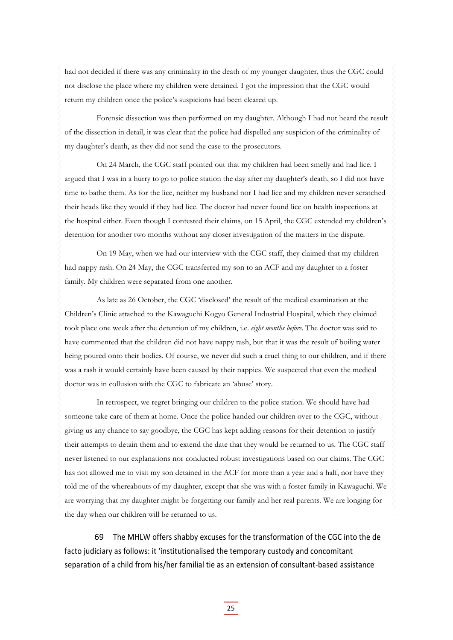had not decided if there was any criminality in the death of my younger daughter, thus the CGC could not disclose the place where my children were detained. I got the impression that the CGC would return my children once the police's suspicions had been cleared up.

Forensic dissection was then performed on my daughter. Although I had not heard the result of the dissection in detail, it was clear that the police had dispelled any suspicion of the criminality of my daughter's death, as they did not send the case to the prosecutors.

On 24 March, the CGC staff pointed out that my children had been smelly and had lice. I argued that I was in a hurry to go to police station the day after my daughter's death, so I did not have time to bathe them. As for the lice, neither my husband nor I had lice and my children never scratched their heads like they would if they had lice. The doctor had never found lice on health inspections at the hospital either. Even though I contested their claims, on 15 April, the CGC extended my children's detention for another two months without any closer investigation of the matters in the dispute.

On 19 May, when we had our interview with the CGC staff, they claimed that my children had nappy rash. On 24 May, the CGC transferred my son to an ACF and my daughter to a foster family. My children were separated from one another.

As late as 26 October, the CGC 'disclosed' the result of the medical examination at the Children's Clinic attached to the Kawaguchi Kogyo General Industrial Hospital, which they claimed took place one week after the detention of my children, i.e. *eight months before*. The doctor was said to have commented that the children did not have nappy rash, but that it was the result of boiling water being poured onto their bodies. Of course, we never did such a cruel thing to our children, and if there was a rash it would certainly have been caused by their nappies. We suspected that even the medical doctor was in collusion with the CGC to fabricate an 'abuse' story.

In retrospect, we regret bringing our children to the police station. We should have had someone take care of them at home. Once the police handed our children over to the CGC, without giving us any chance to say goodbye, the CGC has kept adding reasons for their detention to justify their attempts to detain them and to extend the date that they would be returned to us. The CGC staff never listened to our explanations nor conducted robust investigations based on our claims. The CGC has not allowed me to visit my son detained in the ACF for more than a year and a half, nor have they told me of the whereabouts of my daughter, except that she was with a foster family in Kawaguchi. We are worrying that my daughter might be forgetting our family and her real parents. We are longing for the day when our children will be returned to us.

69 The MHLW offers shabby excuses for the transformation of the CGC into the de facto judiciary as follows: it 'institutionalised the temporary custody and concomitant separation of a child from his/her familial tie as an extension of consultant‐based assistance

25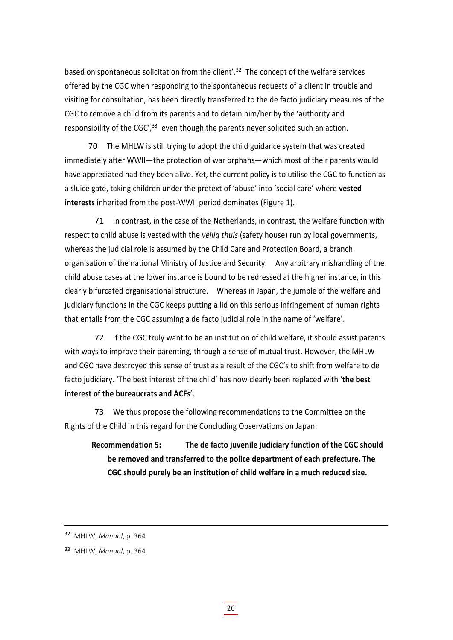based on spontaneous solicitation from the client'.<sup>32</sup> The concept of the welfare services offered by the CGC when responding to the spontaneous requests of a client in trouble and visiting for consultation, has been directly transferred to the de facto judiciary measures of the CGC to remove a child from its parents and to detain him/her by the 'authority and responsibility of the  $CGC<sup>'</sup>,<sup>33</sup>$  even though the parents never solicited such an action.

70 The MHLW is still trying to adopt the child guidance system that was created immediately after WWII—the protection of war orphans—which most of their parents would have appreciated had they been alive. Yet, the current policy is to utilise the CGC to function as a sluice gate, taking children under the pretext of 'abuse' into 'social care' where **vested interests** inherited from the post-WWII period dominates (Figure 1).

71 In contrast, in the case of the Netherlands, in contrast, the welfare function with respect to child abuse is vested with the *veilig thuis* (safety house) run by local governments, whereas the judicial role is assumed by the Child Care and Protection Board, a branch organisation of the national Ministry of Justice and Security. Any arbitrary mishandling of the child abuse cases at the lower instance is bound to be redressed at the higher instance, in this clearly bifurcated organisational structure. Whereas in Japan, the jumble of the welfare and judiciary functions in the CGC keeps putting a lid on this serious infringement of human rights that entails from the CGC assuming a de facto judicial role in the name of 'welfare'.

72 If the CGC truly want to be an institution of child welfare, it should assist parents with ways to improve their parenting, through a sense of mutual trust. However, the MHLW and CGC have destroyed this sense of trust as a result of the CGC's to shift from welfare to de facto judiciary. 'The best interest of the child' has now clearly been replaced with '**the best interest of the bureaucrats and ACFs**'.

73 We thus propose the following recommendations to the Committee on the Rights of the Child in this regard for the Concluding Observations on Japan:

**Recommendation 5: The de facto juvenile judiciary function of the CGC should be removed and transferred to the police department of each prefecture. The CGC should purely be an institution of child welfare in a much reduced size.**

<sup>32</sup> MHLW, *Manual*, p. 364.

<sup>33</sup> MHLW, *Manual*, p. 364.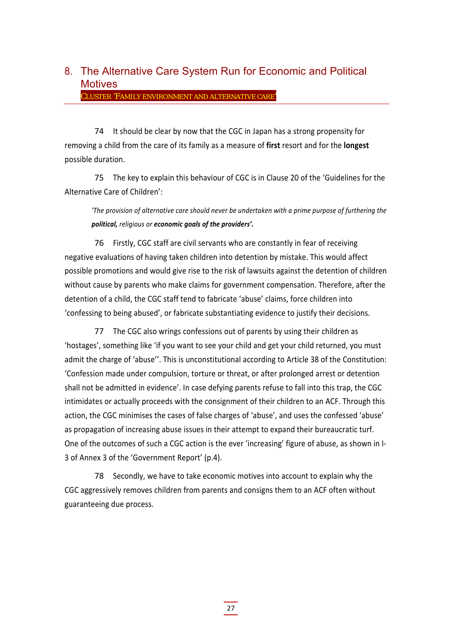### 8. The Alternative Care System Run for Economic and Political **Motives**

CLUSTER 'FAMILY ENVIRONMENT AND ALTERNATIVE CARE'

74 It should be clear by now that the CGC in Japan has a strong propensity for removing a child from the care of its family as a measure of **first** resort and for the **longest** possible duration.

75 The key to explain this behaviour of CGC is in Clause 20 of the 'Guidelines for the Alternative Care of Children':

*'The provision of alternative care should never be undertaken with a prime purpose of furthering the political, religious or economic goals of the providers'.*

76 Firstly, CGC staff are civil servants who are constantly in fear of receiving negative evaluations of having taken children into detention by mistake. This would affect possible promotions and would give rise to the risk of lawsuits against the detention of children without cause by parents who make claims for government compensation. Therefore, after the detention of a child, the CGC staff tend to fabricate 'abuse' claims, force children into 'confessing to being abused', or fabricate substantiating evidence to justify their decisions.

77 The CGC also wrings confessions out of parents by using their children as 'hostages', something like 'if you want to see your child and get your child returned, you must admit the charge of 'abuse''. This is unconstitutional according to Article 38 of the Constitution: 'Confession made under compulsion, torture or threat, or after prolonged arrest or detention shall not be admitted in evidence'. In case defying parents refuse to fall into this trap, the CGC intimidates or actually proceeds with the consignment of their children to an ACF. Through this action, the CGC minimises the cases of false charges of 'abuse', and uses the confessed 'abuse' as propagation of increasing abuse issues in their attempt to expand their bureaucratic turf. One of the outcomes of such a CGC action is the ever 'increasing' figure of abuse, as shown in I-3 of Annex 3 of the 'Government Report' (p.4).

78 Secondly, we have to take economic motives into account to explain why the CGC aggressively removes children from parents and consigns them to an ACF often without guaranteeing due process.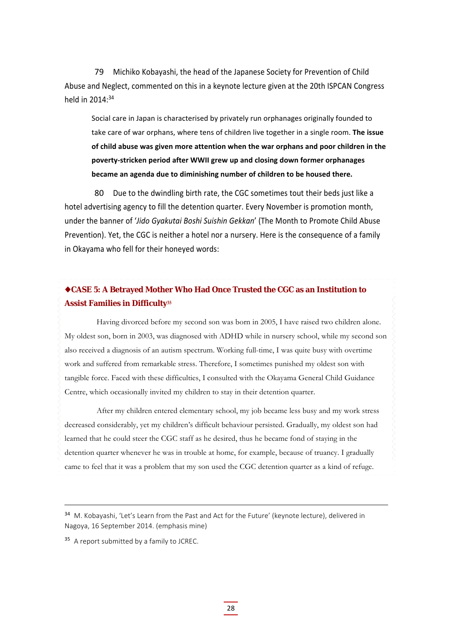79 Michiko Kobayashi, the head of the Japanese Society for Prevention of Child Abuse and Neglect, commented on this in a keynote lecture given at the 20th ISPCAN Congress held in 2014<sup>-34</sup>

Social care in Japan is characterised by privately run orphanages originally founded to take care of war orphans, where tens of children live together in a single room. **The issue of child abuse was given more attention when the war orphans and poor children in the poverty‐stricken period after WWII grew up and closing down former orphanages became an agenda due to diminishing number of children to be housed there.**

80 Due to the dwindling birth rate, the CGC sometimes tout their beds just like a hotel advertising agency to fill the detention quarter. Every November is promotion month, under the banner of '*Jido Gyakutai Boshi Suishin Gekkan*' (The Month to Promote Child Abuse Prevention). Yet, the CGC is neither a hotel nor a nursery. Here is the consequence of a family in Okayama who fell for their honeyed words:

#### **CASE 5: A Betrayed Mother Who Had Once Trusted the CGC as an Institution to Assist Families in Difficulty35**

Having divorced before my second son was born in 2005, I have raised two children alone. My oldest son, born in 2003, was diagnosed with ADHD while in nursery school, while my second son also received a diagnosis of an autism spectrum. Working full-time, I was quite busy with overtime work and suffered from remarkable stress. Therefore, I sometimes punished my oldest son with tangible force. Faced with these difficulties, I consulted with the Okayama General Child Guidance Centre, which occasionally invited my children to stay in their detention quarter.

After my children entered elementary school, my job became less busy and my work stress decreased considerably, yet my children's difficult behaviour persisted. Gradually, my oldest son had learned that he could steer the CGC staff as he desired, thus he became fond of staying in the detention quarter whenever he was in trouble at home, for example, because of truancy. I gradually came to feel that it was a problem that my son used the CGC detention quarter as a kind of refuge.

<sup>&</sup>lt;sup>34</sup> M. Kobayashi, 'Let's Learn from the Past and Act for the Future' (keynote lecture), delivered in Nagoya, 16 September 2014. (emphasis mine)

<sup>&</sup>lt;sup>35</sup> A report submitted by a family to JCREC.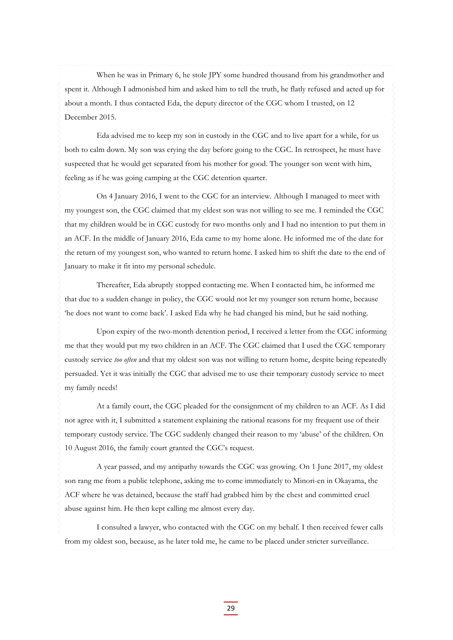When he was in Primary 6, he stole JPY some hundred thousand from his grandmother and spent it. Although I admonished him and asked him to tell the truth, he flatly refused and acted up for about a month. I thus contacted Eda, the deputy director of the CGC whom I trusted, on 12 December 2015.

Eda advised me to keep my son in custody in the CGC and to live apart for a while, for us both to calm down. My son was crying the day before going to the CGC. In retrospect, he must have suspected that he would get separated from his mother for good. The younger son went with him, feeling as if he was going camping at the CGC detention quarter.

On 4 January 2016, I went to the CGC for an interview. Although I managed to meet with my youngest son, the CGC claimed that my eldest son was not willing to see me. I reminded the CGC that my children would be in CGC custody for two months only and I had no intention to put them in an ACF. In the middle of January 2016, Eda came to my home alone. He informed me of the date for the return of my youngest son, who wanted to return home. I asked him to shift the date to the end of January to make it fit into my personal schedule.

Thereafter, Eda abruptly stopped contacting me. When I contacted him, he informed me that due to a sudden change in policy, the CGC would not let my younger son return home, because 'he does not want to come back'. I asked Eda why he had changed his mind, but he said nothing.

Upon expiry of the two-month detention period, I received a letter from the CGC informing me that they would put my two children in an ACF. The CGC claimed that I used the CGC temporary custody service *too often* and that my oldest son was not willing to return home, despite being repeatedly persuaded. Yet it was initially the CGC that advised me to use their temporary custody service to meet my family needs!

At a family court, the CGC pleaded for the consignment of my children to an ACF. As I did not agree with it, I submitted a statement explaining the rational reasons for my frequent use of their temporary custody service. The CGC suddenly changed their reason to my 'abuse' of the children. On 10 August 2016, the family court granted the CGC's request.

A year passed, and my antipathy towards the CGC was growing. On 1 June 2017, my oldest son rang me from a public telephone, asking me to come immediately to Minori-en in Okayama, the ACF where he was detained, because the staff had grabbed him by the chest and committed cruel abuse against him. He then kept calling me almost every day.

I consulted a lawyer, who contacted with the CGC on my behalf. I then received fewer calls from my oldest son, because, as he later told me, he came to be placed under stricter surveillance.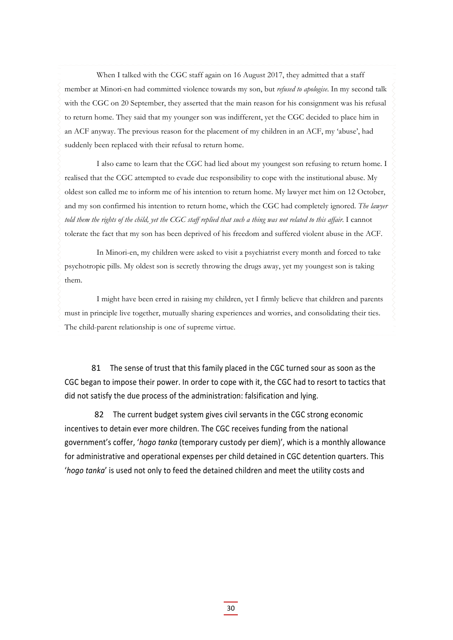When I talked with the CGC staff again on 16 August 2017, they admitted that a staff member at Minori-en had committed violence towards my son, but *refused to apologise*. In my second talk with the CGC on 20 September, they asserted that the main reason for his consignment was his refusal to return home. They said that my younger son was indifferent, yet the CGC decided to place him in an ACF anyway. The previous reason for the placement of my children in an ACF, my 'abuse', had suddenly been replaced with their refusal to return home.

I also came to learn that the CGC had lied about my youngest son refusing to return home. I realised that the CGC attempted to evade due responsibility to cope with the institutional abuse. My oldest son called me to inform me of his intention to return home. My lawyer met him on 12 October, and my son confirmed his intention to return home, which the CGC had completely ignored. *The lawyer told them the rights of the child, yet the CGC staff replied that such a thing was not related to this affair*. I cannot tolerate the fact that my son has been deprived of his freedom and suffered violent abuse in the ACF.

In Minori-en, my children were asked to visit a psychiatrist every month and forced to take psychotropic pills. My oldest son is secretly throwing the drugs away, yet my youngest son is taking them.

I might have been erred in raising my children, yet I firmly believe that children and parents must in principle live together, mutually sharing experiences and worries, and consolidating their ties. The child-parent relationship is one of supreme virtue.

81 The sense of trust that this family placed in the CGC turned sour as soon as the CGC began to impose their power. In order to cope with it, the CGC had to resort to tactics that did not satisfy the due process of the administration: falsification and lying.

82 The current budget system gives civil servants in the CGC strong economic incentives to detain ever more children. The CGC receives funding from the national government's coffer, '*hogo tanka* (temporary custody per diem)', which is a monthly allowance for administrative and operational expenses per child detained in CGC detention quarters. This '*hogo tanka*' is used not only to feed the detained children and meet the utility costs and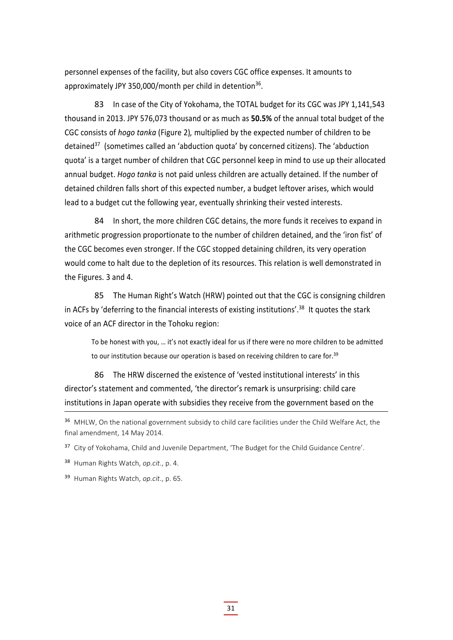personnel expenses of the facility, but also covers CGC office expenses. It amounts to approximately JPY 350,000/month per child in detention<sup>36</sup>.

83 In case of the City of Yokohama, the TOTAL budget for its CGC was JPY 1,141,543 thousand in 2013. JPY 576,073 thousand or as much as **50.5%** of the annual total budget of the CGC consists of *hogo tanka* (Figure 2)*,* multiplied by the expected number of children to be detained $37$  (sometimes called an 'abduction quota' by concerned citizens). The 'abduction quota' is a target number of children that CGC personnel keep in mind to use up their allocated annual budget. *Hogo tanka* is not paid unless children are actually detained. If the number of detained children falls short of this expected number, a budget leftover arises, which would lead to a budget cut the following year, eventually shrinking their vested interests.

84 In short, the more children CGC detains, the more funds it receives to expand in arithmetic progression proportionate to the number of children detained, and the 'iron fist' of the CGC becomes even stronger. If the CGC stopped detaining children, its very operation would come to halt due to the depletion of its resources. This relation is well demonstrated in the Figures. 3 and 4.

85 The Human Right's Watch (HRW) pointed out that the CGC is consigning children in ACFs by 'deferring to the financial interests of existing institutions'.<sup>38</sup> It quotes the stark voice of an ACF director in the Tohoku region:

To be honest with you, … it's not exactly ideal for us if there were no more children to be admitted to our institution because our operation is based on receiving children to care for.<sup>39</sup>

86 The HRW discerned the existence of 'vested institutional interests' in this director's statement and commented, 'the director's remark is unsurprising: child care institutions in Japan operate with subsidies they receive from the government based on the

<sup>37</sup> City of Yokohama, Child and Juvenile Department, 'The Budget for the Child Guidance Centre'.

<sup>38</sup> Human Rights Watch, *op.cit*., p. 4.

<sup>39</sup> Human Rights Watch, *op.cit*., p. 65.

<sup>&</sup>lt;sup>36</sup> MHLW, On the national government subsidy to child care facilities under the Child Welfare Act, the final amendment, 14 May 2014.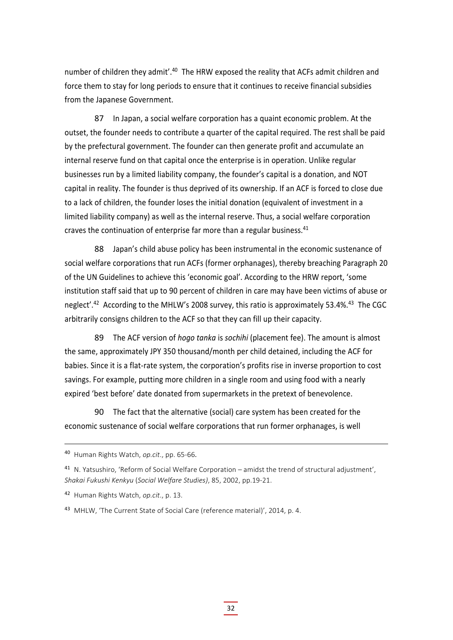number of children they admit'.<sup>40</sup> The HRW exposed the reality that ACFs admit children and force them to stay for long periods to ensure that it continues to receive financial subsidies from the Japanese Government.

87 In Japan, a social welfare corporation has a quaint economic problem. At the outset, the founder needs to contribute a quarter of the capital required. The rest shall be paid by the prefectural government. The founder can then generate profit and accumulate an internal reserve fund on that capital once the enterprise is in operation. Unlike regular businesses run by a limited liability company, the founder's capital is a donation, and NOT capital in reality. The founder is thus deprived of its ownership. If an ACF is forced to close due to a lack of children, the founder loses the initial donation (equivalent of investment in a limited liability company) as well as the internal reserve. Thus, a social welfare corporation craves the continuation of enterprise far more than a regular business.<sup>41</sup>

88 Japan's child abuse policy has been instrumental in the economic sustenance of social welfare corporations that run ACFs (former orphanages), thereby breaching Paragraph 20 of the UN Guidelines to achieve this 'economic goal'. According to the HRW report, 'some institution staff said that up to 90 percent of children in care may have been victims of abuse or neglect'.<sup>42</sup> According to the MHLW's 2008 survey, this ratio is approximately 53.4%.<sup>43</sup> The CGC arbitrarily consigns children to the ACF so that they can fill up their capacity.

89 The ACF version of *hogo tanka* is *sochihi* (placement fee). The amount is almost the same, approximately JPY 350 thousand/month per child detained, including the ACF for babies. Since it is a flat-rate system, the corporation's profits rise in inverse proportion to cost savings. For example, putting more children in a single room and using food with a nearly expired 'best before' date donated from supermarkets in the pretext of benevolence.

90 The fact that the alternative (social) care system has been created for the economic sustenance of social welfare corporations that run former orphanages, is well

<sup>40</sup> Human Rights Watch, *op.cit*., pp. 65‐66.

<sup>41</sup> N. Yatsushiro, 'Reform of Social Welfare Corporation – amidst the trend of structural adjustment', *Shakai Fukushi Kenkyu* (*Social Welfare Studies)*, 85, 2002, pp.19‐21.

<sup>42</sup> Human Rights Watch, *op.cit*., p. 13.

<sup>43</sup> MHLW, 'The Current State of Social Care (reference material)', 2014, p. 4.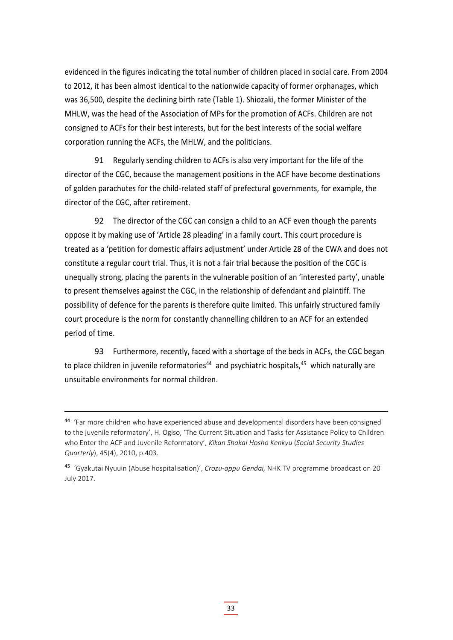evidenced in the figures indicating the total number of children placed in social care. From 2004 to 2012, it has been almost identical to the nationwide capacity of former orphanages, which was 36,500, despite the declining birth rate (Table 1). Shiozaki, the former Minister of the MHLW, was the head of the Association of MPs for the promotion of ACFs. Children are not consigned to ACFs for their best interests, but for the best interests of the social welfare corporation running the ACFs, the MHLW, and the politicians.

91 Regularly sending children to ACFs is also very important for the life of the director of the CGC, because the management positions in the ACF have become destinations of golden parachutes for the child‐related staff of prefectural governments, for example, the director of the CGC, after retirement.

92 The director of the CGC can consign a child to an ACF even though the parents oppose it by making use of 'Article 28 pleading' in a family court. This court procedure is treated as a 'petition for domestic affairs adjustment' under Article 28 of the CWA and does not constitute a regular court trial. Thus, it is not a fair trial because the position of the CGC is unequally strong, placing the parents in the vulnerable position of an 'interested party', unable to present themselves against the CGC, in the relationship of defendant and plaintiff. The possibility of defence for the parents is therefore quite limited. This unfairly structured family court procedure is the norm for constantly channelling children to an ACF for an extended period of time.

93 Furthermore, recently, faced with a shortage of the beds in ACFs, the CGC began to place children in juvenile reformatories<sup>44</sup> and psychiatric hospitals,<sup>45</sup> which naturally are unsuitable environments for normal children.

<sup>44</sup> 'Far more children who have experienced abuse and developmental disorders have been consigned to the juvenile reformatory', H. Ogiso, 'The Current Situation and Tasks for Assistance Policy to Children who Enter the ACF and Juvenile Reformatory', *Kikan Shakai Hosho Kenkyu* (*Social Security Studies Quarterly*), 45(4), 2010, p.403.

<sup>45</sup> 'Gyakutai Nyuuin (Abuse hospitalisation)', *Crozu‐appu Gendai,* NHK TV programme broadcast on 20 July 2017.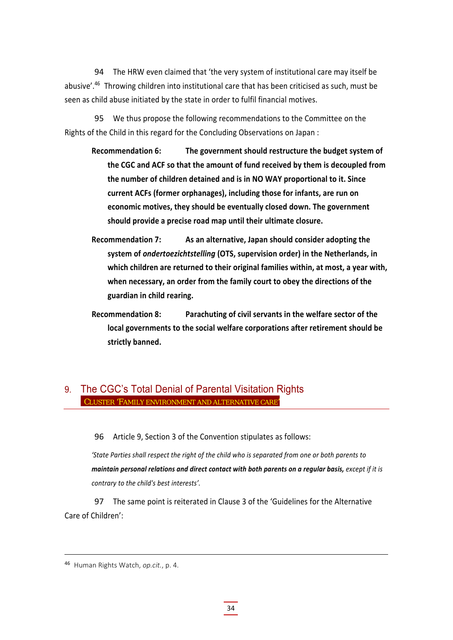94 The HRW even claimed that 'the very system of institutional care may itself be abusive'.<sup>46</sup> Throwing children into institutional care that has been criticised as such, must be seen as child abuse initiated by the state in order to fulfil financial motives.

95 We thus propose the following recommendations to the Committee on the Rights of the Child in this regard for the Concluding Observations on Japan :

- **Recommendation 6: The government should restructure the budget system of the CGC and ACF so that the amount of fund received by them is decoupled from the number of children detained and is in NO WAY proportional to it. Since current ACFs (former orphanages), including those for infants, are run on economic motives, they should be eventually closed down. The government should provide a precise road map until their ultimate closure.**
- **Recommendation 7: As an alternative, Japan should consider adopting the system of** *ondertoezichtstelling* **(OTS, supervision order) in the Netherlands, in which children are returned to their original families within, at most, a year with, when necessary, an order from the family court to obey the directions of the guardian in child rearing.**
- **Recommendation 8: Parachuting of civil servants in the welfare sector of the local governments to the social welfare corporations after retirement should be strictly banned.**

#### 9. The CGC's Total Denial of Parental Visitation Rights CLUSTER 'FAMILY ENVIRONMENT AND ALTERNATIVE CARE'

96 Article 9, Section 3 of the Convention stipulates as follows:

*'State Parties shall respect the right of the child who is separated from one or both parents to maintain personal relations and direct contact with both parents on a regular basis, except if it is contrary to the child's best interests'.*

97 The same point is reiterated in Clause 3 of the 'Guidelines for the Alternative Care of Children':

<sup>46</sup> Human Rights Watch, *op.cit.*, p. 4.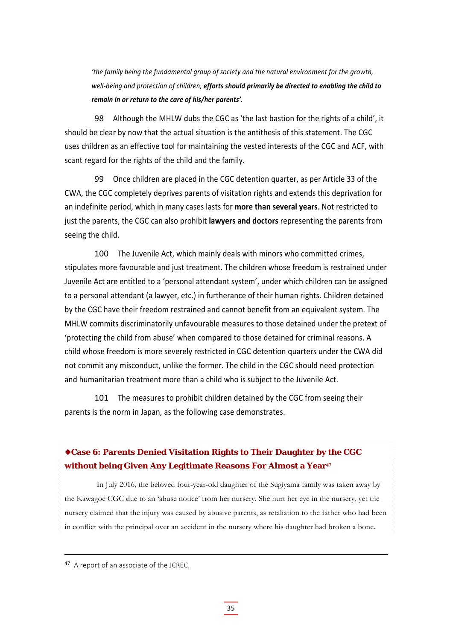*'the family being the fundamental group of society and the natural environment for the growth, well‐being and protection of children, efforts should primarily be directed to enabling the child to remain in or return to the care of his/her parents'.* 

98 Although the MHLW dubs the CGC as 'the last bastion for the rights of a child', it should be clear by now that the actual situation is the antithesis of this statement. The CGC uses children as an effective tool for maintaining the vested interests of the CGC and ACF, with scant regard for the rights of the child and the family.

99 Once children are placed in the CGC detention quarter, as per Article 33 of the CWA, the CGC completely deprives parents of visitation rights and extends this deprivation for an indefinite period, which in many cases lasts for **more than several years**. Not restricted to just the parents, the CGC can also prohibit **lawyers and doctors** representing the parents from seeing the child.

100 The Juvenile Act, which mainly deals with minors who committed crimes, stipulates more favourable and just treatment. The children whose freedom is restrained under Juvenile Act are entitled to a 'personal attendant system', under which children can be assigned to a personal attendant (a lawyer, etc.) in furtherance of their human rights. Children detained by the CGC have their freedom restrained and cannot benefit from an equivalent system. The MHLW commits discriminatorily unfavourable measures to those detained under the pretext of 'protecting the child from abuse' when compared to those detained for criminal reasons. A child whose freedom is more severely restricted in CGC detention quarters under the CWA did not commit any misconduct, unlike the former. The child in the CGC should need protection and humanitarian treatment more than a child who is subject to the Juvenile Act.

101 The measures to prohibit children detained by the CGC from seeing their parents is the norm in Japan, as the following case demonstrates.

#### **Case 6: Parents Denied Visitation Rights to Their Daughter by the CGC without being Given Any Legitimate Reasons For Almost a Year<sup>47</sup>**

In July 2016, the beloved four-year-old daughter of the Sugiyama family was taken away by the Kawagoe CGC due to an 'abuse notice' from her nursery. She hurt her eye in the nursery, yet the nursery claimed that the injury was caused by abusive parents, as retaliation to the father who had been in conflict with the principal over an accident in the nursery where his daughter had broken a bone.

<sup>47</sup> A report of an associate of the JCREC.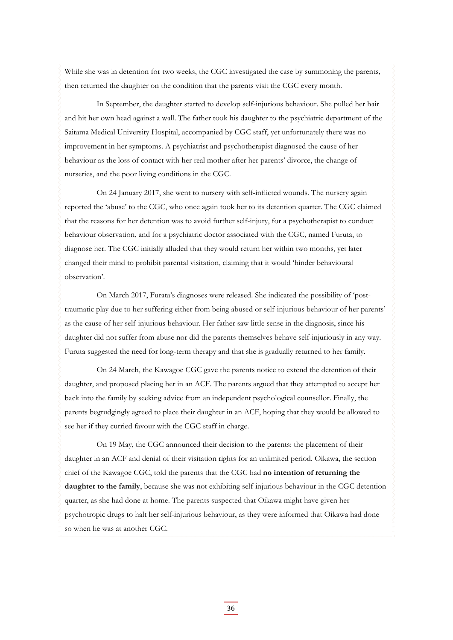While she was in detention for two weeks, the CGC investigated the case by summoning the parents, then returned the daughter on the condition that the parents visit the CGC every month.

In September, the daughter started to develop self-injurious behaviour. She pulled her hair and hit her own head against a wall. The father took his daughter to the psychiatric department of the Saitama Medical University Hospital, accompanied by CGC staff, yet unfortunately there was no improvement in her symptoms. A psychiatrist and psychotherapist diagnosed the cause of her behaviour as the loss of contact with her real mother after her parents' divorce, the change of nurseries, and the poor living conditions in the CGC.

On 24 January 2017, she went to nursery with self-inflicted wounds. The nursery again reported the 'abuse' to the CGC, who once again took her to its detention quarter. The CGC claimed that the reasons for her detention was to avoid further self-injury, for a psychotherapist to conduct behaviour observation, and for a psychiatric doctor associated with the CGC, named Furuta, to diagnose her. The CGC initially alluded that they would return her within two months, yet later changed their mind to prohibit parental visitation, claiming that it would 'hinder behavioural observation'.

On March 2017, Furata's diagnoses were released. She indicated the possibility of 'posttraumatic play due to her suffering either from being abused or self-injurious behaviour of her parents' as the cause of her self-injurious behaviour. Her father saw little sense in the diagnosis, since his daughter did not suffer from abuse nor did the parents themselves behave self-injuriously in any way. Furuta suggested the need for long-term therapy and that she is gradually returned to her family.

On 24 March, the Kawagoe CGC gave the parents notice to extend the detention of their daughter, and proposed placing her in an ACF. The parents argued that they attempted to accept her back into the family by seeking advice from an independent psychological counsellor. Finally, the parents begrudgingly agreed to place their daughter in an ACF, hoping that they would be allowed to see her if they curried favour with the CGC staff in charge.

On 19 May, the CGC announced their decision to the parents: the placement of their daughter in an ACF and denial of their visitation rights for an unlimited period. Oikawa, the section chief of the Kawagoe CGC, told the parents that the CGC had **no intention of returning the daughter to the family**, because she was not exhibiting self-injurious behaviour in the CGC detention quarter, as she had done at home. The parents suspected that Oikawa might have given her psychotropic drugs to halt her self-injurious behaviour, as they were informed that Oikawa had done so when he was at another CGC.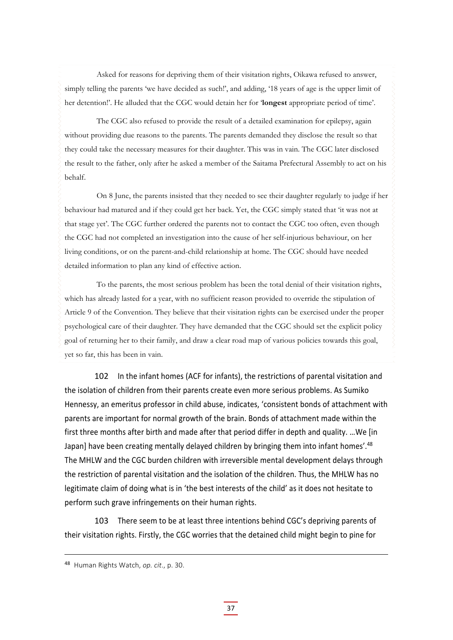Asked for reasons for depriving them of their visitation rights, Oikawa refused to answer, simply telling the parents 'we have decided as such!', and adding, '18 years of age is the upper limit of her detention!'. He alluded that the CGC would detain her for '**longest** appropriate period of time'.

The CGC also refused to provide the result of a detailed examination for epilepsy, again without providing due reasons to the parents. The parents demanded they disclose the result so that they could take the necessary measures for their daughter. This was in vain. The CGC later disclosed the result to the father, only after he asked a member of the Saitama Prefectural Assembly to act on his behalf.

On 8 June, the parents insisted that they needed to see their daughter regularly to judge if her behaviour had matured and if they could get her back. Yet, the CGC simply stated that 'it was not at that stage yet'. The CGC further ordered the parents not to contact the CGC too often, even though the CGC had not completed an investigation into the cause of her self-injurious behaviour, on her living conditions, or on the parent-and-child relationship at home. The CGC should have needed detailed information to plan any kind of effective action.

To the parents, the most serious problem has been the total denial of their visitation rights, which has already lasted for a year, with no sufficient reason provided to override the stipulation of Article 9 of the Convention. They believe that their visitation rights can be exercised under the proper psychological care of their daughter. They have demanded that the CGC should set the explicit policy goal of returning her to their family, and draw a clear road map of various policies towards this goal, yet so far, this has been in vain.

102 In the infant homes (ACF for infants), the restrictions of parental visitation and the isolation of children from their parents create even more serious problems. As Sumiko Hennessy, an emeritus professor in child abuse, indicates, 'consistent bonds of attachment with parents are important for normal growth of the brain. Bonds of attachment made within the first three months after birth and made after that period differ in depth and quality. …We [in Japan] have been creating mentally delayed children by bringing them into infant homes'.<sup>48</sup> The MHLW and the CGC burden children with irreversible mental development delays through the restriction of parental visitation and the isolation of the children. Thus, the MHLW has no legitimate claim of doing what is in 'the best interests of the child' as it does not hesitate to perform such grave infringements on their human rights.

103 There seem to be at least three intentions behind CGC's depriving parents of their visitation rights. Firstly, the CGC worries that the detained child might begin to pine for

<sup>48</sup> Human Rights Watch, *op. cit*., p. 30.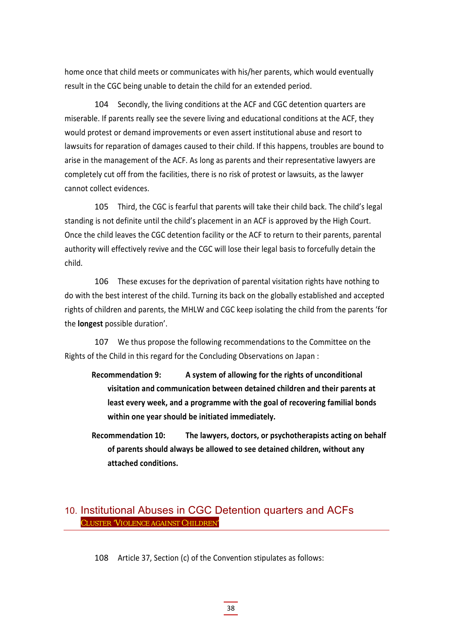home once that child meets or communicates with his/her parents, which would eventually result in the CGC being unable to detain the child for an extended period.

104 Secondly, the living conditions at the ACF and CGC detention quarters are miserable. If parents really see the severe living and educational conditions at the ACF, they would protest or demand improvements or even assert institutional abuse and resort to lawsuits for reparation of damages caused to their child. If this happens, troubles are bound to arise in the management of the ACF. As long as parents and their representative lawyers are completely cut off from the facilities, there is no risk of protest or lawsuits, as the lawyer cannot collect evidences.

105 Third, the CGC is fearful that parents will take their child back. The child's legal standing is not definite until the child's placement in an ACF is approved by the High Court. Once the child leaves the CGC detention facility or the ACF to return to their parents, parental authority will effectively revive and the CGC will lose their legal basis to forcefully detain the child.

106 These excuses for the deprivation of parental visitation rights have nothing to do with the best interest of the child. Turning its back on the globally established and accepted rights of children and parents, the MHLW and CGC keep isolating the child from the parents 'for the **longest** possible duration'.

107 We thus propose the following recommendations to the Committee on the Rights of the Child in this regard for the Concluding Observations on Japan :

- **Recommendation 9: A system of allowing for the rights of unconditional visitation and communication between detained children and their parents at least every week, and a programme with the goal of recovering familial bonds within one year should be initiated immediately.**
- **Recommendation 10: The lawyers, doctors, or psychotherapists acting on behalf of parents should always be allowed to see detained children, without any attached conditions.**

#### 10. Institutional Abuses in CGC Detention quarters and ACFs CLUSTER 'VIOLENCE AGAINST CHILDREN'

108 Article 37, Section (c) of the Convention stipulates as follows: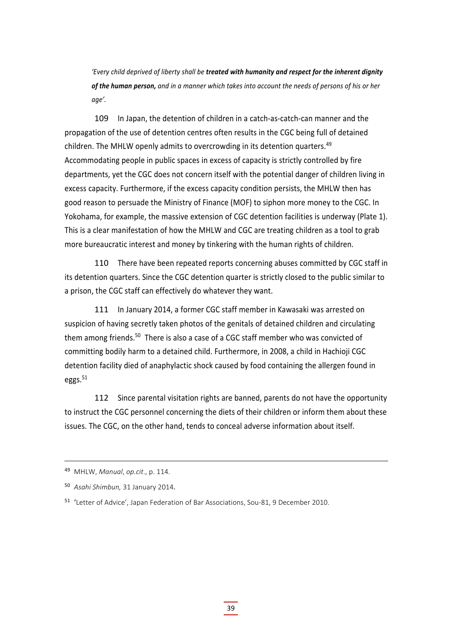*'Every child deprived of liberty shall be treated with humanity and respect for the inherent dignity* of the human person, and in a manner which takes into account the needs of persons of his or her *age'.*

109 In Japan, the detention of children in a catch-as-catch-can manner and the propagation of the use of detention centres often results in the CGC being full of detained children. The MHLW openly admits to overcrowding in its detention quarters.<sup>49</sup> Accommodating people in public spaces in excess of capacity is strictly controlled by fire departments, yet the CGC does not concern itself with the potential danger of children living in excess capacity. Furthermore, if the excess capacity condition persists, the MHLW then has good reason to persuade the Ministry of Finance (MOF) to siphon more money to the CGC. In Yokohama, for example, the massive extension of CGC detention facilities is underway (Plate 1). This is a clear manifestation of how the MHLW and CGC are treating children as a tool to grab more bureaucratic interest and money by tinkering with the human rights of children.

110 There have been repeated reports concerning abuses committed by CGC staff in its detention quarters. Since the CGC detention quarter is strictly closed to the public similar to a prison, the CGC staff can effectively do whatever they want.

111 In January 2014, a former CGC staff member in Kawasaki was arrested on suspicion of having secretly taken photos of the genitals of detained children and circulating them among friends.<sup>50</sup> There is also a case of a CGC staff member who was convicted of committing bodily harm to a detained child. Furthermore, in 2008, a child in Hachioji CGC detention facility died of anaphylactic shock caused by food containing the allergen found in eggs. $51$ 

112 Since parental visitation rights are banned, parents do not have the opportunity to instruct the CGC personnel concerning the diets of their children or inform them about these issues. The CGC, on the other hand, tends to conceal adverse information about itself.

<sup>49</sup> MHLW, *Manual*, *op.cit*., p. 114.

<sup>50</sup> *Asahi Shimbun,* 31 January 2014.

<sup>51</sup> 'Letter of Advice', Japan Federation of Bar Associations, Sou‐81, 9 December 2010.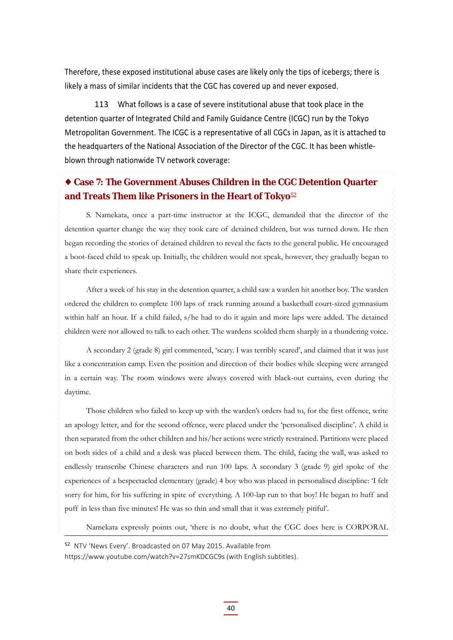Therefore, these exposed institutional abuse cases are likely only the tips of icebergs; there is likely a mass of similar incidents that the CGC has covered up and never exposed.

113 What follows is a case of severe institutional abuse that took place in the detention quarter of Integrated Child and Family Guidance Centre (ICGC) run by the Tokyo Metropolitan Government. The ICGC is a representative of all CGCs in Japan, as it is attached to the headquarters of the National Association of the Director of the CGC. It has been whistle‐ blown through nationwide TV network coverage:

#### **Case 7: The Government Abuses Children in the CGC Detention Quarter and Treats Them like Prisoners in the Heart of Tokyo**<sup>52</sup>

S. Namekata, once a part-time instructor at the ICGC, demanded that the director of the detention quarter change the way they took care of detained children, but was turned down. He then began recording the stories of detained children to reveal the facts to the general public. He encouraged a boot-faced child to speak up. Initially, the children would not speak, however, they gradually began to share their experiences.

After a week of his stay in the detention quarter, a child saw a warden hit another boy. The warden ordered the children to complete 100 laps of track running around a basketball court-sized gymnasium within half an hour. If a child failed, s/he had to do it again and more laps were added. The detained children were not allowed to talk to each other. The wardens scolded them sharply in a thundering voice.

A secondary 2 (grade 8) girl commented, 'scary. I was terribly scared', and claimed that it was just like a concentration camp. Even the position and direction of their bodies while sleeping were arranged in a certain way. The room windows were always covered with black-out curtains, even during the daytime.

Those children who failed to keep up with the warden's orders had to, for the first offence, write an apology letter, and for the second offence, were placed under the 'personalised discipline'. A child is then separated from the other children and his/her actions were strictly restrained. Partitions were placed on both sides of a child and a desk was placed between them. The child, facing the wall, was asked to endlessly transcribe Chinese characters and run 100 laps. A secondary 3 (grade 9) girl spoke of the experiences of a bespectacled elementary (grade) 4 boy who was placed in personalised discipline: 'I felt sorry for him, for his suffering in spite of everything. A 100-lap run to that boy! He began to huff and puff in less than five minutes! He was so thin and small that it was extremely pitiful'.

Namekata expressly points out, 'there is no doubt, what the CGC does here is CORPORAL

<sup>52</sup> NTV 'News Every'. Broadcasted on 07 May 2015. Available from

https://www.youtube.com/watch?v=27smKDCGC9s (with English subtitles).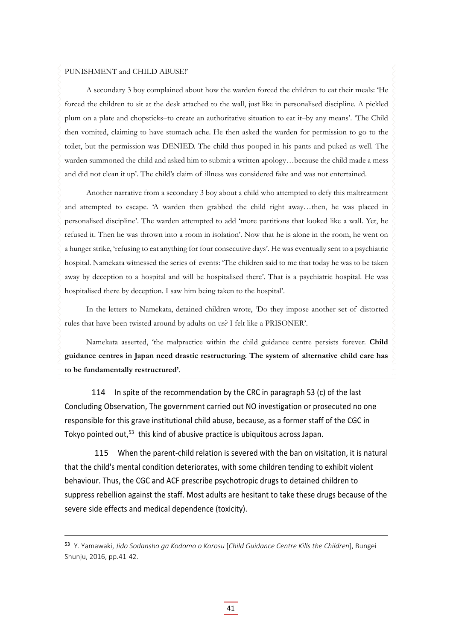#### PUNISHMENT and CHILD ABUSE!'

A secondary 3 boy complained about how the warden forced the children to eat their meals: 'He forced the children to sit at the desk attached to the wall, just like in personalised discipline. A pickled plum on a plate and chopsticks–to create an authoritative situation to eat it–by any means'. 'The Child then vomited, claiming to have stomach ache. He then asked the warden for permission to go to the toilet, but the permission was DENIED. The child thus pooped in his pants and puked as well. The warden summoned the child and asked him to submit a written apology…because the child made a mess and did not clean it up'. The child's claim of illness was considered fake and was not entertained.

Another narrative from a secondary 3 boy about a child who attempted to defy this maltreatment and attempted to escape. 'A warden then grabbed the child right away…then, he was placed in personalised discipline'. The warden attempted to add 'more partitions that looked like a wall. Yet, he refused it. Then he was thrown into a room in isolation'. Now that he is alone in the room, he went on a hunger strike, 'refusing to eat anything for four consecutive days'. He was eventually sent to a psychiatric hospital. Namekata witnessed the series of events: 'The children said to me that today he was to be taken away by deception to a hospital and will be hospitalised there'. That is a psychiatric hospital. He was hospitalised there by deception. I saw him being taken to the hospital'.

In the letters to Namekata, detained children wrote, 'Do they impose another set of distorted rules that have been twisted around by adults on us? I felt like a PRISONER'.

Namekata asserted, 'the malpractice within the child guidance centre persists forever. **Child guidance centres in Japan need drastic restructuring. The system of alternative child care has to be fundamentally restructured'**.

114 In spite of the recommendation by the CRC in paragraph 53 (c) of the last Concluding Observation, The government carried out NO investigation or prosecuted no one responsible for this grave institutional child abuse, because, as a former staff of the CGC in Tokyo pointed out,<sup>53</sup> this kind of abusive practice is ubiquitous across Japan.

115 When the parent-child relation is severed with the ban on visitation, it is natural that the child's mental condition deteriorates, with some children tending to exhibit violent behaviour. Thus, the CGC and ACF prescribe psychotropic drugs to detained children to suppress rebellion against the staff. Most adults are hesitant to take these drugs because of the severe side effects and medical dependence (toxicity).

<sup>53</sup> Y. Yamawaki, *Jido Sodansho ga Kodomo o Korosu* [*Child Guidance Centre Kills the Children*], Bungei Shunju, 2016, pp.41‐42.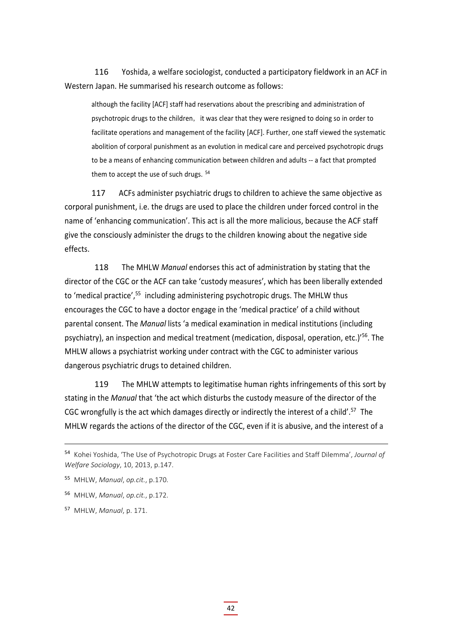116 Yoshida, a welfare sociologist, conducted a participatory fieldwork in an ACF in Western Japan. He summarised his research outcome as follows:

although the facility [ACF] staff had reservations about the prescribing and administration of psychotropic drugs to the children, it was clear that they were resigned to doing so in order to facilitate operations and management of the facility [ACF]. Further, one staff viewed the systematic abolition of corporal punishment as an evolution in medical care and perceived psychotropic drugs to be a means of enhancing communication between children and adults ‐‐ a fact that prompted them to accept the use of such drugs.  $54$ 

117 ACFs administer psychiatric drugs to children to achieve the same objective as corporal punishment, i.e. the drugs are used to place the children under forced control in the name of 'enhancing communication'. This act is all the more malicious, because the ACF staff give the consciously administer the drugs to the children knowing about the negative side effects.

118 The MHLW *Manual* endorses this act of administration by stating that the director of the CGC or the ACF can take 'custody measures', which has been liberally extended to 'medical practice',<sup>55</sup> including administering psychotropic drugs. The MHLW thus encourages the CGC to have a doctor engage in the 'medical practice' of a child without parental consent. The *Manual* lists 'a medical examination in medical institutions (including psychiatry), an inspection and medical treatment (medication, disposal, operation, etc.)'56. The MHLW allows a psychiatrist working under contract with the CGC to administer various dangerous psychiatric drugs to detained children.

119 The MHLW attempts to legitimatise human rights infringements of this sort by stating in the *Manual* that 'the act which disturbs the custody measure of the director of the CGC wrongfully is the act which damages directly or indirectly the interest of a child'.<sup>57</sup> The MHLW regards the actions of the director of the CGC, even if it is abusive, and the interest of a

<sup>54</sup> Kohei Yoshida, 'The Use of Psychotropic Drugs at Foster Care Facilities and Staff Dilemma', *Journal of Welfare Sociology*, 10, 2013, p.147.

<sup>55</sup> MHLW, *Manual*, *op.cit.*, p.170.

<sup>56</sup> MHLW, *Manual*, *op.cit.*, p.172.

<sup>57</sup> MHLW, *Manual*, p. 171.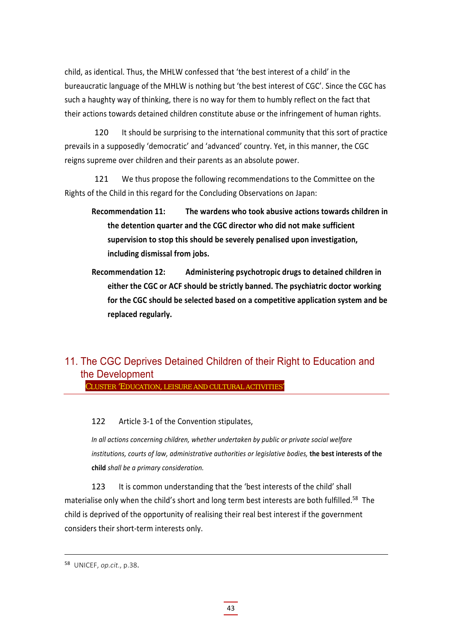child, as identical. Thus, the MHLW confessed that 'the best interest of a child' in the bureaucratic language of the MHLW is nothing but 'the best interest of CGC'. Since the CGC has such a haughty way of thinking, there is no way for them to humbly reflect on the fact that their actions towards detained children constitute abuse or the infringement of human rights.

120 It should be surprising to the international community that this sort of practice prevails in a supposedly 'democratic' and 'advanced' country. Yet, in this manner, the CGC reigns supreme over children and their parents as an absolute power.

121 We thus propose the following recommendations to the Committee on the Rights of the Child in this regard for the Concluding Observations on Japan:

- **Recommendation 11: The wardens who took abusive actions towards children in the detention quarter and the CGC director who did not make sufficient supervision to stop this should be severely penalised upon investigation, including dismissal from jobs.**
- **Recommendation 12: Administering psychotropic drugs to detained children in either the CGC or ACF should be strictly banned. The psychiatric doctor working for the CGC should be selected based on a competitive application system and be replaced regularly.**

## 11. The CGC Deprives Detained Children of their Right to Education and the Development

CLUSTER 'EDUCATION, LEISURE AND CULTURAL ACTIVITIES'

122 Article 3-1 of the Convention stipulates,

*In all actions concerning children, whether undertaken by public or private social welfare institutions, courts of law, administrative authorities or legislative bodies,* **the best interests of the child** *shall be a primary consideration.* 

123 It is common understanding that the 'best interests of the child' shall materialise only when the child's short and long term best interests are both fulfilled.<sup>58</sup> The child is deprived of the opportunity of realising their real best interest if the government considers their short‐term interests only.

<sup>58</sup> UNICEF, *op.cit*., p.38.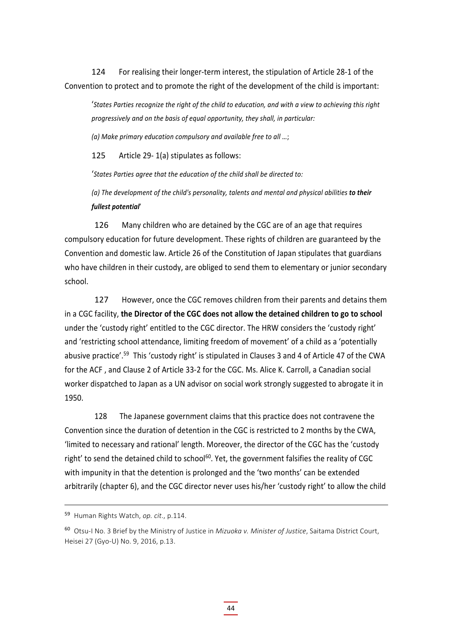124 For realising their longer-term interest, the stipulation of Article 28-1 of the Convention to protect and to promote the right of the development of the child is important:

'States Parties recoanize the right of the child to education, and with a view to achieving this right *progressively and on the basis of equal opportunity, they shall, in particular:*

*(a) Make primary education compulsory and available free to all …*;

125 Article 29‐ 1(a) stipulates as follows:

'*States Parties agree that the education of the child shall be directed to:*

*(a) The development of the child's personality, talents and mental and physical abilities to their fullest potential*'

126 Many children who are detained by the CGC are of an age that requires compulsory education for future development. These rights of children are guaranteed by the Convention and domestic law. Article 26 of the Constitution of Japan stipulates that guardians who have children in their custody, are obliged to send them to elementary or junior secondary school.

127 However, once the CGC removes children from their parents and detains them in a CGC facility, **the Director of the CGC does not allow the detained children to go to school** under the 'custody right' entitled to the CGC director. The HRW considers the 'custody right' and 'restricting school attendance, limiting freedom of movement' of a child as a 'potentially abusive practice'.<sup>59</sup> This 'custody right' is stipulated in Clauses 3 and 4 of Article 47 of the CWA for the ACF , and Clause 2 of Article 33‐2 for the CGC. Ms. Alice K. Carroll, a Canadian social worker dispatched to Japan as a UN advisor on social work strongly suggested to abrogate it in 1950.

128 The Japanese government claims that this practice does not contravene the Convention since the duration of detention in the CGC is restricted to 2 months by the CWA, 'limited to necessary and rational' length. Moreover, the director of the CGC has the 'custody right' to send the detained child to school<sup>60</sup>. Yet, the government falsifies the reality of CGC with impunity in that the detention is prolonged and the 'two months' can be extended arbitrarily (chapter 6), and the CGC director never uses his/her 'custody right' to allow the child

<sup>59</sup> Human Rights Watch, *op. cit*., p.114.

<sup>60</sup> Otsu‐I No. 3 Brief by the Ministry of Justice in *Mizuoka v. Minister of Justice*, Saitama District Court, Heisei 27 (Gyo‐U) No. 9, 2016, p.13.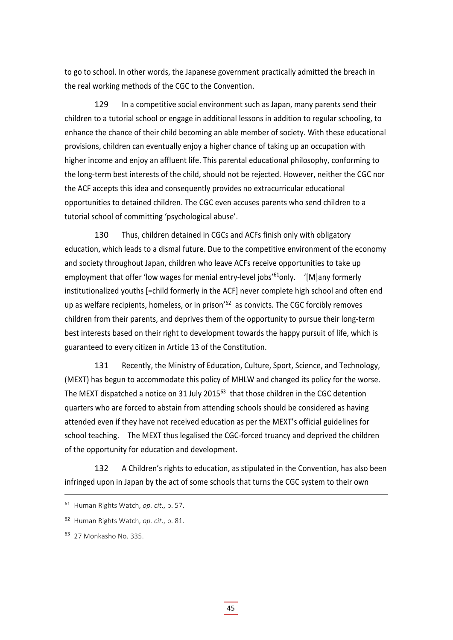to go to school. In other words, the Japanese government practically admitted the breach in the real working methods of the CGC to the Convention.

129 In a competitive social environment such as Japan, many parents send their children to a tutorial school or engage in additional lessons in addition to regular schooling, to enhance the chance of their child becoming an able member of society. With these educational provisions, children can eventually enjoy a higher chance of taking up an occupation with higher income and enjoy an affluent life. This parental educational philosophy, conforming to the long‐term best interests of the child, should not be rejected. However, neither the CGC nor the ACF accepts this idea and consequently provides no extracurricular educational opportunities to detained children. The CGC even accuses parents who send children to a tutorial school of committing 'psychological abuse'.

130 Thus, children detained in CGCs and ACFs finish only with obligatory education, which leads to a dismal future. Due to the competitive environment of the economy and society throughout Japan, children who leave ACFs receive opportunities to take up employment that offer 'low wages for menial entry-level jobs'<sup>61</sup>only. '[M]any formerly institutionalized youths [=child formerly in the ACF] never complete high school and often end up as welfare recipients, homeless, or in prison<sup>'62</sup> as convicts. The CGC forcibly removes children from their parents, and deprives them of the opportunity to pursue their long‐term best interests based on their right to development towards the happy pursuit of life, which is guaranteed to every citizen in Article 13 of the Constitution.

131 Recently, the Ministry of Education, Culture, Sport, Science, and Technology, (MEXT) has begun to accommodate this policy of MHLW and changed its policy for the worse. The MEXT dispatched a notice on 31 July 2015<sup>63</sup> that those children in the CGC detention quarters who are forced to abstain from attending schools should be considered as having attended even if they have not received education as per the MEXT's official guidelines for school teaching. The MEXT thus legalised the CGC-forced truancy and deprived the children of the opportunity for education and development.

132 A Children's rights to education, as stipulated in the Convention, has also been infringed upon in Japan by the act of some schools that turns the CGC system to their own

<sup>61</sup> Human Rights Watch, *op. cit*., p. 57.

<sup>62</sup> Human Rights Watch, *op. cit*., p. 81.

<sup>63</sup> 27 Monkasho No. 335.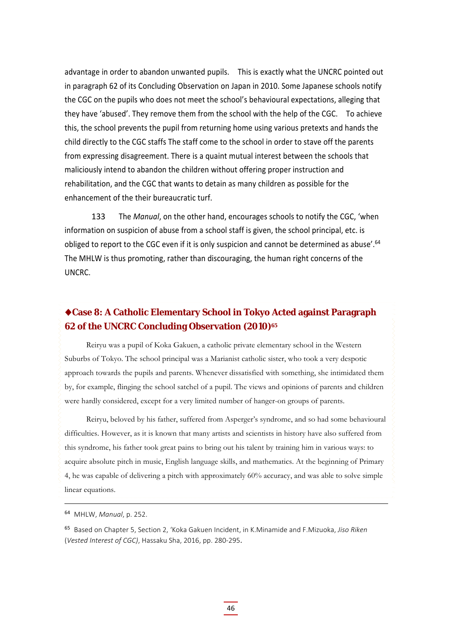advantage in order to abandon unwanted pupils. This is exactly what the UNCRC pointed out in paragraph 62 of its Concluding Observation on Japan in 2010. Some Japanese schools notify the CGC on the pupils who does not meet the school's behavioural expectations, alleging that they have 'abused'. They remove them from the school with the help of the CGC. To achieve this, the school prevents the pupil from returning home using various pretexts and hands the child directly to the CGC staffs The staff come to the school in order to stave off the parents from expressing disagreement. There is a quaint mutual interest between the schools that maliciously intend to abandon the children without offering proper instruction and rehabilitation, and the CGC that wants to detain as many children as possible for the enhancement of the their bureaucratic turf.

133 The *Manual*, on the other hand, encourages schools to notify the CGC, 'when information on suspicion of abuse from a school staff is given, the school principal, etc. is obliged to report to the CGC even if it is only suspicion and cannot be determined as abuse'.<sup>64</sup> The MHLW is thus promoting, rather than discouraging, the human right concerns of the UNCRC.

#### **Case 8: A Catholic Elementary School in Tokyo Acted against Paragraph 62 of the UNCRC Concluding Observation (2010)65**

Reiryu was a pupil of Koka Gakuen, a catholic private elementary school in the Western Suburbs of Tokyo. The school principal was a Marianist catholic sister, who took a very despotic approach towards the pupils and parents. Whenever dissatisfied with something, she intimidated them by, for example, flinging the school satchel of a pupil. The views and opinions of parents and children were hardly considered, except for a very limited number of hanger-on groups of parents.

Reiryu, beloved by his father, suffered from Asperger's syndrome, and so had some behavioural difficulties. However, as it is known that many artists and scientists in history have also suffered from this syndrome, his father took great pains to bring out his talent by training him in various ways: to acquire absolute pitch in music, English language skills, and mathematics. At the beginning of Primary 4, he was capable of delivering a pitch with approximately 60% accuracy, and was able to solve simple linear equations.

<sup>64</sup> MHLW, *Manual*, p. 252.

<sup>65</sup> Based on Chapter 5, Section 2, 'Koka Gakuen Incident, in K.Minamide and F.Mizuoka, *Jiso Riken* (*Vested Interest of CGC)*, Hassaku Sha, 2016, pp. 280‐295.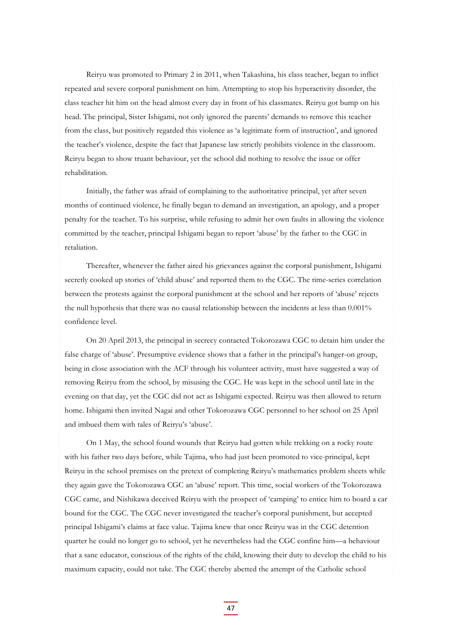Reiryu was promoted to Primary 2 in 2011, when Takashina, his class teacher, began to inflict repeated and severe corporal punishment on him. Attempting to stop his hyperactivity disorder, the class teacher hit him on the head almost every day in front of his classmates. Reiryu got bump on his head. The principal, Sister Ishigami, not only ignored the parents' demands to remove this teacher from the class, but positively regarded this violence as 'a legitimate form of instruction', and ignored the teacher's violence, despite the fact that Japanese law strictly prohibits violence in the classroom. Reiryu began to show truant behaviour, yet the school did nothing to resolve the issue or offer rehabilitation.

Initially, the father was afraid of complaining to the authoritative principal, yet after seven months of continued violence, he finally began to demand an investigation, an apology, and a proper penalty for the teacher. To his surprise, while refusing to admit her own faults in allowing the violence committed by the teacher, principal Ishigami began to report 'abuse' by the father to the CGC in retaliation.

Thereafter, whenever the father aired his grievances against the corporal punishment, Ishigami secretly cooked up stories of 'child abuse' and reported them to the CGC. The time-series correlation between the protests against the corporal punishment at the school and her reports of 'abuse' rejects the null hypothesis that there was no causal relationship between the incidents at less than 0.001% confidence level.

On 20 April 2013, the principal in secrecy contacted Tokorozawa CGC to detain him under the false charge of 'abuse'. Presumptive evidence shows that a father in the principal's hanger-on group, being in close association with the ACF through his volunteer activity, must have suggested a way of removing Reiryu from the school, by misusing the CGC. He was kept in the school until late in the evening on that day, yet the CGC did not act as Ishigami expected. Reiryu was then allowed to return home. Ishigami then invited Nagai and other Tokorozawa CGC personnel to her school on 25 April and imbued them with tales of Reiryu's 'abuse'.

On 1 May, the school found wounds that Reiryu had gotten while trekking on a rocky route with his father two days before, while Tajima, who had just been promoted to vice-principal, kept Reiryu in the school premises on the pretext of completing Reiryu's mathematics problem sheets while they again gave the Tokorozawa CGC an 'abuse' report. This time, social workers of the Tokorozawa CGC came, and Nishikawa deceived Reiryu with the prospect of 'camping' to entice him to board a car bound for the CGC. The CGC never investigated the teacher's corporal punishment, but accepted principal Ishigami's claims at face value. Tajima knew that once Reiryu was in the CGC detention quarter he could no longer go to school, yet he nevertheless had the CGC confine him—a behaviour that a sane educator, conscious of the rights of the child, knowing their duty to develop the child to his maximum capacity, could not take. The CGC thereby abetted the attempt of the Catholic school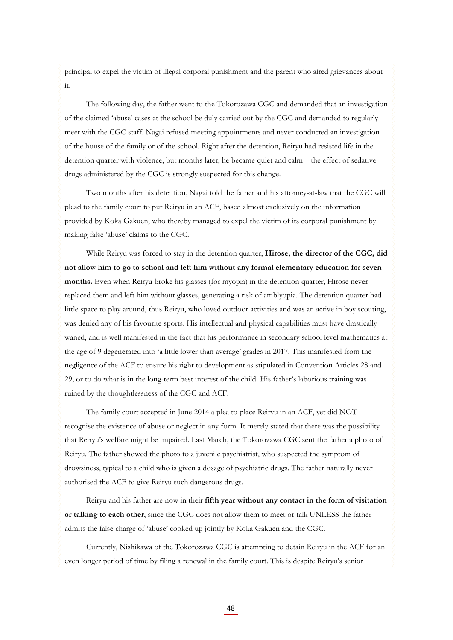principal to expel the victim of illegal corporal punishment and the parent who aired grievances about it.

The following day, the father went to the Tokorozawa CGC and demanded that an investigation of the claimed 'abuse' cases at the school be duly carried out by the CGC and demanded to regularly meet with the CGC staff. Nagai refused meeting appointments and never conducted an investigation of the house of the family or of the school. Right after the detention, Reiryu had resisted life in the detention quarter with violence, but months later, he became quiet and calm—the effect of sedative drugs administered by the CGC is strongly suspected for this change.

Two months after his detention, Nagai told the father and his attorney-at-law that the CGC will plead to the family court to put Reiryu in an ACF, based almost exclusively on the information provided by Koka Gakuen, who thereby managed to expel the victim of its corporal punishment by making false 'abuse' claims to the CGC.

While Reiryu was forced to stay in the detention quarter, **Hirose, the director of the CGC, did not allow him to go to school and left him without any formal elementary education for seven months.** Even when Reiryu broke his glasses (for myopia) in the detention quarter, Hirose never replaced them and left him without glasses, generating a risk of amblyopia. The detention quarter had little space to play around, thus Reiryu, who loved outdoor activities and was an active in boy scouting, was denied any of his favourite sports. His intellectual and physical capabilities must have drastically waned, and is well manifested in the fact that his performance in secondary school level mathematics at the age of 9 degenerated into 'a little lower than average' grades in 2017. This manifested from the negligence of the ACF to ensure his right to development as stipulated in Convention Articles 28 and 29, or to do what is in the long-term best interest of the child. His father's laborious training was ruined by the thoughtlessness of the CGC and ACF.

The family court accepted in June 2014 a plea to place Reiryu in an ACF, yet did NOT recognise the existence of abuse or neglect in any form. It merely stated that there was the possibility that Reiryu's welfare might be impaired. Last March, the Tokorozawa CGC sent the father a photo of Reiryu. The father showed the photo to a juvenile psychiatrist, who suspected the symptom of drowsiness, typical to a child who is given a dosage of psychiatric drugs. The father naturally never authorised the ACF to give Reiryu such dangerous drugs.

Reiryu and his father are now in their **fifth year without any contact in the form of visitation or talking to each other**, since the CGC does not allow them to meet or talk UNLESS the father admits the false charge of 'abuse' cooked up jointly by Koka Gakuen and the CGC.

Currently, Nishikawa of the Tokorozawa CGC is attempting to detain Reiryu in the ACF for an even longer period of time by filing a renewal in the family court. This is despite Reiryu's senior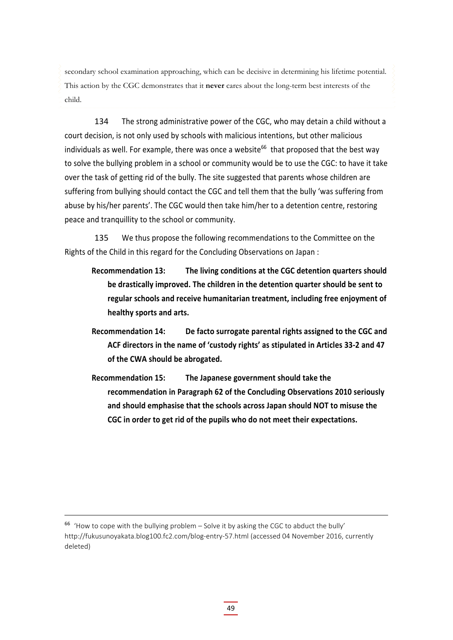secondary school examination approaching, which can be decisive in determining his lifetime potential. This action by the CGC demonstrates that it **never** cares about the long-term best interests of the child.

134 The strong administrative power of the CGC, who may detain a child without a court decision, is not only used by schools with malicious intentions, but other malicious individuals as well. For example, there was once a website<sup>66</sup> that proposed that the best way to solve the bullying problem in a school or community would be to use the CGC: to have it take over the task of getting rid of the bully. The site suggested that parents whose children are suffering from bullying should contact the CGC and tell them that the bully 'was suffering from abuse by his/her parents'. The CGC would then take him/her to a detention centre, restoring peace and tranquillity to the school or community.

135 We thus propose the following recommendations to the Committee on the Rights of the Child in this regard for the Concluding Observations on Japan :

- **Recommendation 13: The living conditions at the CGC detention quarters should be drastically improved. The children in the detention quarter should be sent to regular schools and receive humanitarian treatment, including free enjoyment of healthy sports and arts.**
- **Recommendation 14: De facto surrogate parental rights assigned to the CGC and ACF directors in the name of 'custody rights' as stipulated in Articles 33‐2 and 47 of the CWA should be abrogated.**
- **Recommendation 15: The Japanese government should take the recommendation in Paragraph 62 of the Concluding Observations 2010 seriously and should emphasise that the schools across Japan should NOT to misuse the CGC in order to get rid of the pupils who do not meet their expectations.**

 $66$  'How to cope with the bullying problem – Solve it by asking the CGC to abduct the bully' http://fukusunoyakata.blog100.fc2.com/blog-entry-57.html (accessed 04 November 2016, currently deleted)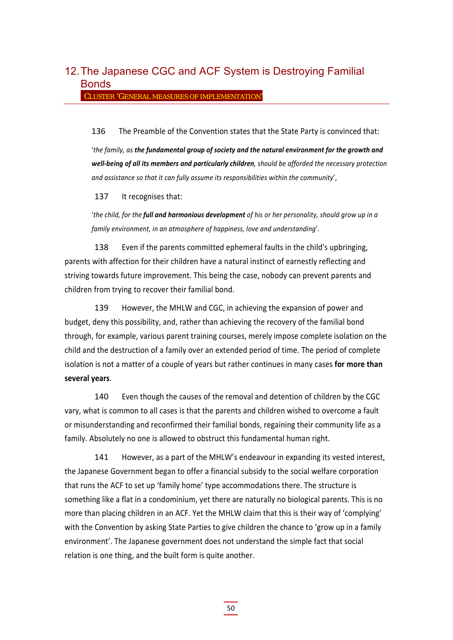## 12. The Japanese CGC and ACF System is Destroying Familial Bonds

CLUSTER 'GENERAL MEASURES OF IMPLEMENTATION'

136 The Preamble of the Convention states that the State Party is convinced that:

'*the family, as the fundamental group of society and the natural environment for the growth and well‐being of all its members and particularly children, should be afforded the necessary protection and assistance so that it can fully assume its responsibilities within the community*',

137 It recognises that:

'*the child, for the full and harmonious development of his or her personality, should grow up in a family environment, in an atmosphere of happiness, love and understanding*'.

138 Even if the parents committed ephemeral faults in the child's upbringing, parents with affection for their children have a natural instinct of earnestly reflecting and striving towards future improvement. This being the case, nobody can prevent parents and children from trying to recover their familial bond.

139 However, the MHLW and CGC, in achieving the expansion of power and budget, deny this possibility, and, rather than achieving the recovery of the familial bond through, for example, various parent training courses, merely impose complete isolation on the child and the destruction of a family over an extended period of time. The period of complete isolation is not a matter of a couple of years but rather continues in many cases **for more than several years**.

140 Even though the causes of the removal and detention of children by the CGC vary, what is common to all cases is that the parents and children wished to overcome a fault or misunderstanding and reconfirmed their familial bonds, regaining their community life as a family. Absolutely no one is allowed to obstruct this fundamental human right.

141 However, as a part of the MHLW's endeavour in expanding its vested interest, the Japanese Government began to offer a financial subsidy to the social welfare corporation that runs the ACF to set up 'family home' type accommodations there. The structure is something like a flat in a condominium, yet there are naturally no biological parents. This is no more than placing children in an ACF. Yet the MHLW claim that this is their way of 'complying' with the Convention by asking State Parties to give children the chance to 'grow up in a family environment'. The Japanese government does not understand the simple fact that social relation is one thing, and the built form is quite another.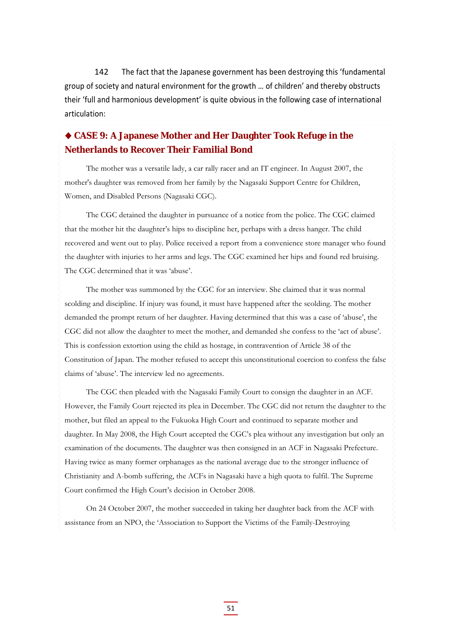142 The fact that the Japanese government has been destroying this 'fundamental group of society and natural environment for the growth … of children' and thereby obstructs their 'full and harmonious development' is quite obvious in the following case of international articulation:

#### **CASE 9: A Japanese Mother and Her Daughter Took Refuge in the Netherlands to Recover Their Familial Bond**

The mother was a versatile lady, a car rally racer and an IT engineer. In August 2007, the mother's daughter was removed from her family by the Nagasaki Support Centre for Children, Women, and Disabled Persons (Nagasaki CGC).

The CGC detained the daughter in pursuance of a notice from the police. The CGC claimed that the mother hit the daughter's hips to discipline her, perhaps with a dress hanger. The child recovered and went out to play. Police received a report from a convenience store manager who found the daughter with injuries to her arms and legs. The CGC examined her hips and found red bruising. The CGC determined that it was 'abuse'.

The mother was summoned by the CGC for an interview. She claimed that it was normal scolding and discipline. If injury was found, it must have happened after the scolding. The mother demanded the prompt return of her daughter. Having determined that this was a case of 'abuse', the CGC did not allow the daughter to meet the mother, and demanded she confess to the 'act of abuse'. This is confession extortion using the child as hostage, in contravention of Article 38 of the Constitution of Japan. The mother refused to accept this unconstitutional coercion to confess the false claims of 'abuse'. The interview led no agreements.

The CGC then pleaded with the Nagasaki Family Court to consign the daughter in an ACF. However, the Family Court rejected its plea in December. The CGC did not return the daughter to the mother, but filed an appeal to the Fukuoka High Court and continued to separate mother and daughter. In May 2008, the High Court accepted the CGC's plea without any investigation but only an examination of the documents. The daughter was then consigned in an ACF in Nagasaki Prefecture. Having twice as many former orphanages as the national average due to the stronger influence of Christianity and A-bomb suffering, the ACFs in Nagasaki have a high quota to fulfil. The Supreme Court confirmed the High Court's decision in October 2008.

On 24 October 2007, the mother succeeded in taking her daughter back from the ACF with assistance from an NPO, the 'Association to Support the Victims of the Family-Destroying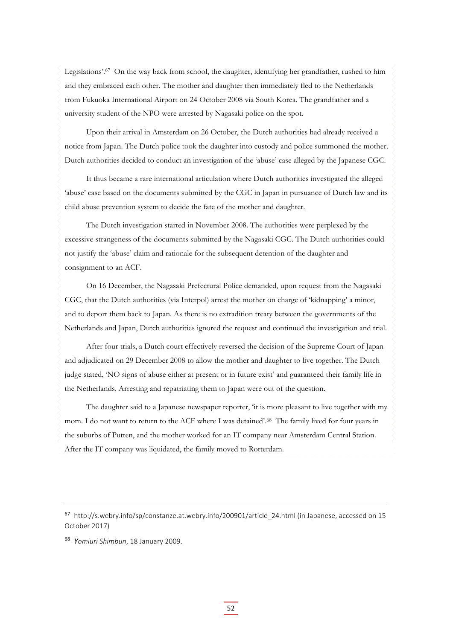Legislations'.<sup>67</sup> On the way back from school, the daughter, identifying her grandfather, rushed to him and they embraced each other. The mother and daughter then immediately fled to the Netherlands from Fukuoka International Airport on 24 October 2008 via South Korea. The grandfather and a university student of the NPO were arrested by Nagasaki police on the spot.

Upon their arrival in Amsterdam on 26 October, the Dutch authorities had already received a notice from Japan. The Dutch police took the daughter into custody and police summoned the mother. Dutch authorities decided to conduct an investigation of the 'abuse' case alleged by the Japanese CGC.

It thus became a rare international articulation where Dutch authorities investigated the alleged 'abuse' case based on the documents submitted by the CGC in Japan in pursuance of Dutch law and its child abuse prevention system to decide the fate of the mother and daughter.

The Dutch investigation started in November 2008. The authorities were perplexed by the excessive strangeness of the documents submitted by the Nagasaki CGC. The Dutch authorities could not justify the 'abuse' claim and rationale for the subsequent detention of the daughter and consignment to an ACF.

On 16 December, the Nagasaki Prefectural Police demanded, upon request from the Nagasaki CGC, that the Dutch authorities (via Interpol) arrest the mother on charge of 'kidnapping' a minor, and to deport them back to Japan. As there is no extradition treaty between the governments of the Netherlands and Japan, Dutch authorities ignored the request and continued the investigation and trial.

After four trials, a Dutch court effectively reversed the decision of the Supreme Court of Japan and adjudicated on 29 December 2008 to allow the mother and daughter to live together. The Dutch judge stated, 'NO signs of abuse either at present or in future exist' and guaranteed their family life in the Netherlands. Arresting and repatriating them to Japan were out of the question.

The daughter said to a Japanese newspaper reporter, 'it is more pleasant to live together with my mom. I do not want to return to the ACF where I was detained'.68 The family lived for four years in the suburbs of Putten, and the mother worked for an IT company near Amsterdam Central Station. After the IT company was liquidated, the family moved to Rotterdam.

<sup>68</sup> *Yomiuri Shimbun*, 18 January 2009.

<sup>&</sup>lt;sup>67</sup> http://s.webry.info/sp/constanze.at.webry.info/200901/article\_24.html (in Japanese, accessed on 15 October 2017)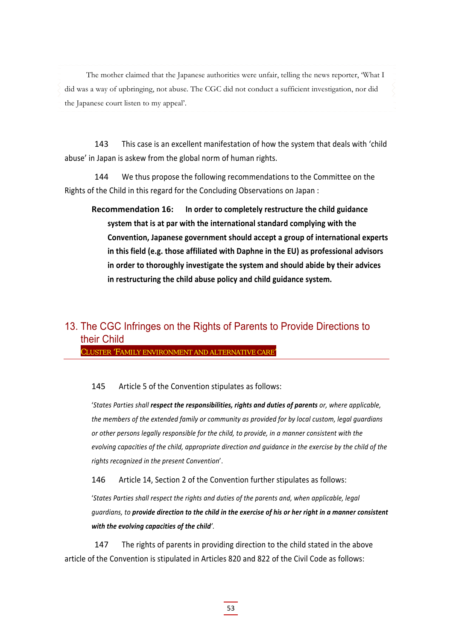The mother claimed that the Japanese authorities were unfair, telling the news reporter, 'What I did was a way of upbringing, not abuse. The CGC did not conduct a sufficient investigation, nor did the Japanese court listen to my appeal'.

143 This case is an excellent manifestation of how the system that deals with 'child abuse' in Japan is askew from the global norm of human rights.

144 We thus propose the following recommendations to the Committee on the Rights of the Child in this regard for the Concluding Observations on Japan :

**Recommendation 16: In order to completely restructure the child guidance system that is at par with the international standard complying with the Convention, Japanese government should accept a group of international experts in this field (e.g. those affiliated with Daphne in the EU) as professional advisors in order to thoroughly investigate the system and should abide by their advices in restructuring the child abuse policy and child guidance system.**

### 13. The CGC Infringes on the Rights of Parents to Provide Directions to their Child

CLUSTER 'FAMILY ENVIRONMENT AND ALTERNATIVE CARE'

#### 145 Article 5 of the Convention stipulates as follows:

'*States Parties shall respect the responsibilities, rights and duties of parents or, where applicable, the members of the extended family or community as provided for by local custom, legal guardians or other persons legally responsible for the child, to provide, in a manner consistent with the evolving capacities of the child, appropriate direction and guidance in the exercise by the child of the rights recognized in the present Convention*'.

146 Article 14, Section 2 of the Convention further stipulates as follows:

'*States Parties shall respect the rights and duties of the parents and, when applicable, legal* auardians, to provide direction to the child in the exercise of his or her right in a manner consistent *with the evolving capacities of the child'.*

147 The rights of parents in providing direction to the child stated in the above article of the Convention is stipulated in Articles 820 and 822 of the Civil Code as follows: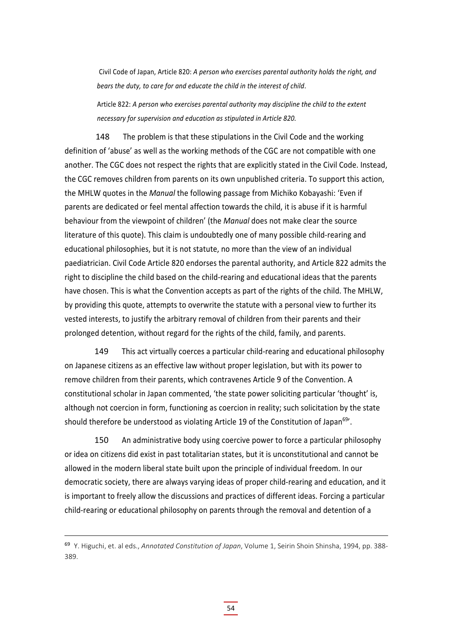Civil Code of Japan, Article 820: *A person who exercises parental authority holds the right, and bears the duty, to care for and educate the child in the interest of child*.

Article 822: *A person who exercises parental authority may discipline the child to the extent necessary for supervision and education as stipulated in Article 820.*

148 The problem is that these stipulations in the Civil Code and the working definition of 'abuse' as well as the working methods of the CGC are not compatible with one another. The CGC does not respect the rights that are explicitly stated in the Civil Code. Instead, the CGC removes children from parents on its own unpublished criteria. To support this action, the MHLW quotes in the *Manual* the following passage from Michiko Kobayashi: 'Even if parents are dedicated or feel mental affection towards the child, it is abuse if it is harmful behaviour from the viewpoint of children' (the *Manual* does not make clear the source literature of this quote). This claim is undoubtedly one of many possible child‐rearing and educational philosophies, but it is not statute, no more than the view of an individual paediatrician. Civil Code Article 820 endorses the parental authority, and Article 822 admits the right to discipline the child based on the child‐rearing and educational ideas that the parents have chosen. This is what the Convention accepts as part of the rights of the child. The MHLW, by providing this quote, attempts to overwrite the statute with a personal view to further its vested interests, to justify the arbitrary removal of children from their parents and their prolonged detention, without regard for the rights of the child, family, and parents.

149 This act virtually coerces a particular child-rearing and educational philosophy on Japanese citizens as an effective law without proper legislation, but with its power to remove children from their parents, which contravenes Article 9 of the Convention. A constitutional scholar in Japan commented, 'the state power soliciting particular 'thought' is, although not coercion in form, functioning as coercion in reality; such solicitation by the state should therefore be understood as violating Article 19 of the Constitution of Japan<sup>69</sup>.

150 An administrative body using coercive power to force a particular philosophy or idea on citizens did exist in past totalitarian states, but it is unconstitutional and cannot be allowed in the modern liberal state built upon the principle of individual freedom. In our democratic society, there are always varying ideas of proper child-rearing and education, and it is important to freely allow the discussions and practices of different ideas. Forcing a particular child-rearing or educational philosophy on parents through the removal and detention of a

<sup>69</sup> Y. Higuchi, et. al eds., *Annotated Constitution of Japan*, Volume 1, Seirin Shoin Shinsha, 1994, pp. 388‐ 389.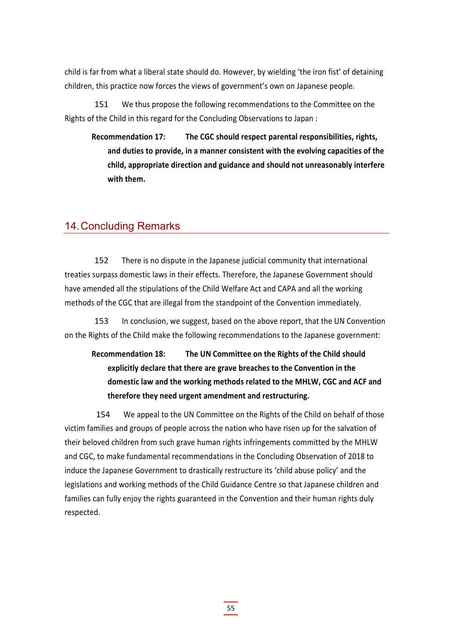child is far from what a liberal state should do. However, by wielding 'the iron fist' of detaining children, this practice now forces the views of government's own on Japanese people.

151 We thus propose the following recommendations to the Committee on the Rights of the Child in this regard for the Concluding Observations to Japan :

**Recommendation 17: The CGC should respect parental responsibilities, rights, and duties to provide, in a manner consistent with the evolving capacities of the child, appropriate direction and guidance and should not unreasonably interfere with them.**

#### 14. Concluding Remarks

152 There is no dispute in the Japanese judicial community that international treaties surpass domestic laws in their effects. Therefore, the Japanese Government should have amended all the stipulations of the Child Welfare Act and CAPA and all the working methods of the CGC that are illegal from the standpoint of the Convention immediately.

153 In conclusion, we suggest, based on the above report, that the UN Convention on the Rights of the Child make the following recommendations to the Japanese government:

### **Recommendation 18: The UN Committee on the Rights of the Child should explicitly declare that there are grave breaches to the Convention in the domestic law and the working methods related to the MHLW, CGC and ACF and therefore they need urgent amendment and restructuring.**

 154 We appeal to the UN Committee on the Rights of the Child on behalf of those victim families and groups of people across the nation who have risen up for the salvation of their beloved children from such grave human rights infringements committed by the MHLW and CGC, to make fundamental recommendations in the Concluding Observation of 2018 to induce the Japanese Government to drastically restructure its 'child abuse policy' and the legislations and working methods of the Child Guidance Centre so that Japanese children and families can fully enjoy the rights guaranteed in the Convention and their human rights duly respected.